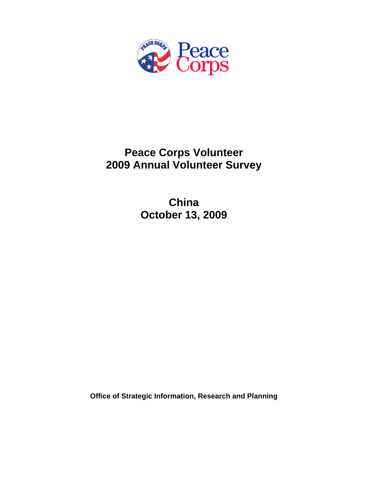

# **Peace Corps Volunteer 2009 Annual Volunteer Survey**

**China October 13, 2009** 

**Office of Strategic Information, Research and Planning**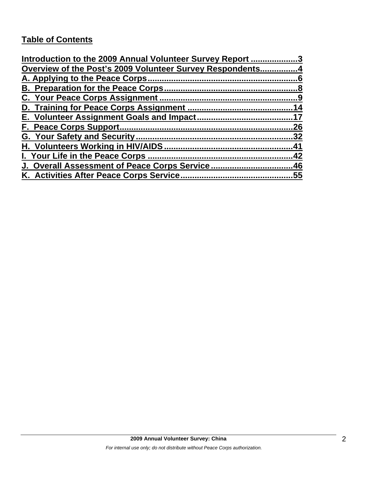## **Table of Contents**

| Introduction to the 2009 Annual Volunteer Survey Report 3 |     |
|-----------------------------------------------------------|-----|
| Overview of the Post's 2009 Volunteer Survey Respondents4 |     |
| A. Applying to the Peace Corps                            |     |
|                                                           |     |
|                                                           |     |
|                                                           |     |
|                                                           |     |
|                                                           | 26  |
|                                                           | .32 |
|                                                           | 41  |
| I. Your Life in the Peace Corps.                          | 42  |
| J. Overall Assessment of Peace Corps Service46            |     |
|                                                           | .55 |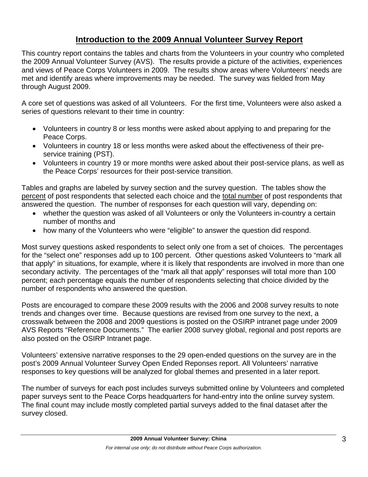## **Introduction to the 2009 Annual Volunteer Survey Report**

This country report contains the tables and charts from the Volunteers in your country who completed the 2009 Annual Volunteer Survey (AVS). The results provide a picture of the activities, experiences and views of Peace Corps Volunteers in 2009. The results show areas where Volunteers' needs are met and identify areas where improvements may be needed. The survey was fielded from May through August 2009.

A core set of questions was asked of all Volunteers. For the first time, Volunteers were also asked a series of questions relevant to their time in country:

- Volunteers in country 8 or less months were asked about applying to and preparing for the Peace Corps.
- Volunteers in country 18 or less months were asked about the effectiveness of their preservice training (PST).
- Volunteers in country 19 or more months were asked about their post-service plans, as well as the Peace Corps' resources for their post-service transition.

Tables and graphs are labeled by survey section and the survey question. The tables show the percent of post respondents that selected each choice and the total number of post respondents that answered the question. The number of responses for each question will vary, depending on:

- whether the question was asked of all Volunteers or only the Volunteers in-country a certain number of months and
- how many of the Volunteers who were "eligible" to answer the question did respond.

Most survey questions asked respondents to select only one from a set of choices. The percentages for the "select one" responses add up to 100 percent. Other questions asked Volunteers to "mark all that apply" in situations, for example, where it is likely that respondents are involved in more than one secondary activity. The percentages of the "mark all that apply" responses will total more than 100 percent; each percentage equals the number of respondents selecting that choice divided by the number of respondents who answered the question.

Posts are encouraged to compare these 2009 results with the 2006 and 2008 survey results to note trends and changes over time. Because questions are revised from one survey to the next, a crosswalk between the 2008 and 2009 questions is posted on the OSIRP intranet page under 2009 AVS Reports "Reference Documents." The earlier 2008 survey global, regional and post reports are also posted on the OSIRP Intranet page.

Volunteers' extensive narrative responses to the 29 open-ended questions on the survey are in the post's 2009 Annual Volunteer Survey Open Ended Reponses report. All Volunteers' narrative responses to key questions will be analyzed for global themes and presented in a later report.

The number of surveys for each post includes surveys submitted online by Volunteers and completed paper surveys sent to the Peace Corps headquarters for hand-entry into the online survey system. The final count may include mostly completed partial surveys added to the final dataset after the survey closed.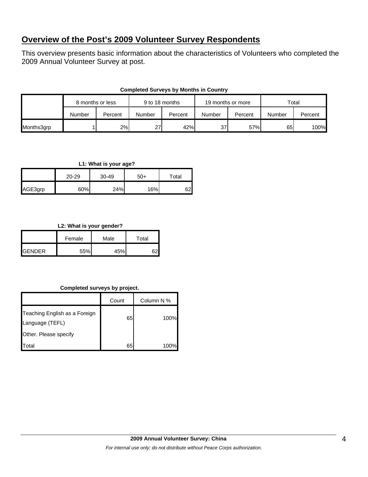## **Overview of the Post's 2009 Volunteer Survey Respondents**

This overview presents basic information about the characteristics of Volunteers who completed the 2009 Annual Volunteer Survey at post.

|            | 8 months or less |         | 9 to 18 months |         | 19 months or more |         | Total  |         |
|------------|------------------|---------|----------------|---------|-------------------|---------|--------|---------|
|            | Number           | Percent | Number         | Percent | Number            | Percent | Number | Percent |
| Months3grp |                  | 2%      | 27             | 42%     | 37                | 57%     | 65     | 100%    |

#### **Completed Surveys by Months in Country**

#### **L1: What is your age?**

|         | 20-29 | 30-49 | $50+$ | Total |  |
|---------|-------|-------|-------|-------|--|
| AGE3grp | 60%   | 24%   | 16%   | 62    |  |

#### **L2: What is your gender?**

|                | Female | Male | Total |  |
|----------------|--------|------|-------|--|
| <b>IGENDER</b> | 55%    | 45%  |       |  |

#### **Completed surveys by project.**

|                                                  | Count | Column N % |
|--------------------------------------------------|-------|------------|
| Teaching English as a Foreign<br>Language (TEFL) | 65    | 100%       |
| Other. Please specify                            |       |            |
| Total                                            | 65    | 100%       |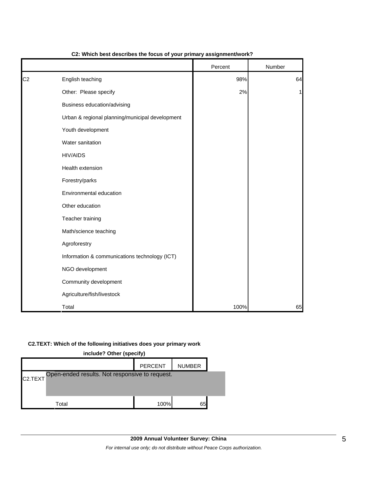|                |                                                 | Percent | Number |
|----------------|-------------------------------------------------|---------|--------|
| C <sub>2</sub> | English teaching                                | 98%     | 64     |
|                | Other: Please specify                           | 2%      | 1      |
|                | Business education/advising                     |         |        |
|                | Urban & regional planning/municipal development |         |        |
|                | Youth development                               |         |        |
|                | Water sanitation                                |         |        |
|                | <b>HIV/AIDS</b>                                 |         |        |
|                | Health extension                                |         |        |
|                | Forestry/parks                                  |         |        |
|                | Environmental education                         |         |        |
|                | Other education                                 |         |        |
|                | Teacher training                                |         |        |
|                | Math/science teaching                           |         |        |
|                | Agroforestry                                    |         |        |
|                | Information & communications technology (ICT)   |         |        |
|                | NGO development                                 |         |        |
|                | Community development                           |         |        |
|                | Agriculture/fish/livestock                      |         |        |
|                | Total                                           | 100%    | 65     |

#### **C2: Which best describes the focus of your primary assignment/work?**

#### **C2.TEXT: Which of the following initiatives does your primary work**

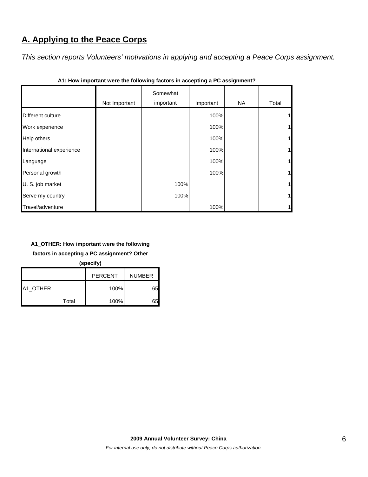## **A. Applying to the Peace Corps**

*This section reports Volunteers' motivations in applying and accepting a Peace Corps assignment.* 

|                          | Not Important | Somewhat<br>important | Important | <b>NA</b> | Total          |
|--------------------------|---------------|-----------------------|-----------|-----------|----------------|
| Different culture        |               |                       | 100%      |           |                |
| Work experience          |               |                       | 100%      |           | 1              |
| Help others              |               |                       | 100%      |           | 1 <sub>h</sub> |
| International experience |               |                       | 100%      |           |                |
| Language                 |               |                       | 100%      |           | 1              |
| Personal growth          |               |                       | 100%      |           | $\mathbf{1}$   |
| U. S. job market         |               | 100%                  |           |           | 1              |
| Serve my country         |               | 100%                  |           |           | $\mathbf{1}$   |
| Travel/adventure         |               |                       | 100%      |           |                |

**A1: How important were the following factors in accepting a PC assignment?**

### **A1\_OTHER: How important were the following**

**factors in accepting a PC assignment? Other** 

**(specify)**

|          |       | <b>PERCENT</b> | <b>NUMBER</b> |
|----------|-------|----------------|---------------|
| A1 OTHER |       | 100%           | 65            |
|          | Total | 100%           |               |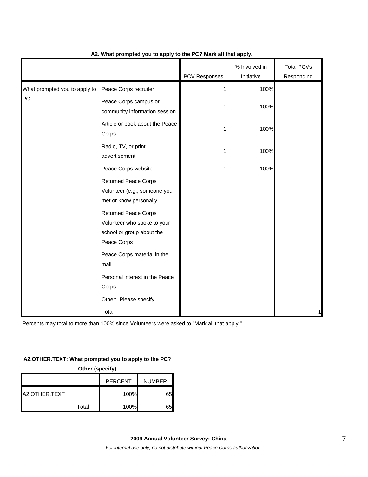|                                                     |                                                                                                                                                                                  | PCV Responses | % Involved in<br>Initiative | <b>Total PCVs</b><br>Responding |
|-----------------------------------------------------|----------------------------------------------------------------------------------------------------------------------------------------------------------------------------------|---------------|-----------------------------|---------------------------------|
| What prompted you to apply to Peace Corps recruiter |                                                                                                                                                                                  | 1             | 100%                        |                                 |
| PC                                                  | Peace Corps campus or<br>community information session                                                                                                                           |               | 100%                        |                                 |
|                                                     | Article or book about the Peace<br>Corps                                                                                                                                         |               | 100%                        |                                 |
|                                                     | Radio, TV, or print<br>advertisement                                                                                                                                             |               | 100%                        |                                 |
|                                                     | Peace Corps website                                                                                                                                                              |               | 100%                        |                                 |
|                                                     | <b>Returned Peace Corps</b><br>Volunteer (e.g., someone you<br>met or know personally<br><b>Returned Peace Corps</b><br>Volunteer who spoke to your<br>school or group about the |               |                             |                                 |
|                                                     | Peace Corps<br>Peace Corps material in the                                                                                                                                       |               |                             |                                 |
|                                                     | mail                                                                                                                                                                             |               |                             |                                 |
|                                                     | Personal interest in the Peace<br>Corps                                                                                                                                          |               |                             |                                 |
|                                                     | Other: Please specify                                                                                                                                                            |               |                             |                                 |
|                                                     | Total                                                                                                                                                                            |               |                             | 1                               |

#### **A2. What prompted you to apply to the PC? Mark all that apply.**

Percents may total to more than 100% since Volunteers were asked to "Mark all that apply."

#### **A2.OTHER.TEXT: What prompted you to apply to the PC?**

| Other (specify)                 |       |      |    |  |  |  |
|---------------------------------|-------|------|----|--|--|--|
| <b>PERCENT</b><br><b>NUMBER</b> |       |      |    |  |  |  |
| A2.OTHER.TEXT                   |       | 100% | 65 |  |  |  |
|                                 | Total | 100% | 65 |  |  |  |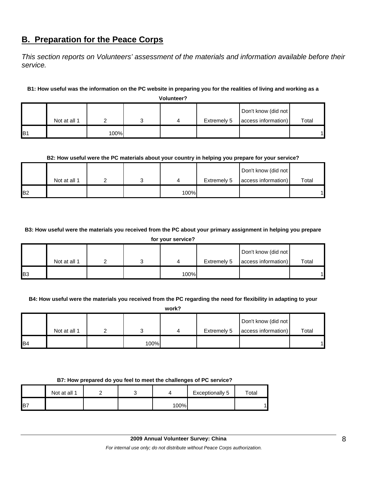## **B. Preparation for the Peace Corps**

*This section reports on Volunteers' assessment of the materials and information available before their service.* 

#### **B1: How useful was the information on the PC website in preparing you for the realities of living and working as a**

**Volunteer?**

|            |              |      |  |             | Don't know (did not |       |
|------------|--------------|------|--|-------------|---------------------|-------|
|            | Not at all 1 |      |  | Extremely 5 | access information) | Total |
| <b>IB1</b> |              | 100% |  |             |                     |       |

#### **B2: How useful were the PC materials about your country in helping you prepare for your service?**

|                |              |  |      |             | Don't know (did not |       |
|----------------|--------------|--|------|-------------|---------------------|-------|
|                | Not at all 1 |  |      | Extremely 5 | access information) | Total |
| B <sub>2</sub> |              |  | 100% |             |                     |       |

## **B3: How useful were the materials you received from the PC about your primary assignment in helping you prepare**

**for your service?**

|                       |              |  |      |             | Don't know (did not |       |
|-----------------------|--------------|--|------|-------------|---------------------|-------|
|                       | Not at all 1 |  |      | Extremely 5 | access information) | Total |
| <b>B</b> <sub>3</sub> |              |  | 100% |             |                     |       |

#### **B4: How useful were the materials you received from the PC regarding the need for flexibility in adapting to your**

**work?**

|                 |              |      |             | Don't know (did not |       |
|-----------------|--------------|------|-------------|---------------------|-------|
|                 | Not at all 1 |      | Extremely 5 | access information) | Total |
| I <sub>B4</sub> |              | 100% |             |                     |       |

#### **B7: How prepared do you feel to meet the challenges of PC service?**

|     | Not at all 1 |  |        | <b>Exceptionally 5</b> | $\tau$ otal |
|-----|--------------|--|--------|------------------------|-------------|
| IB7 |              |  | $00\%$ |                        |             |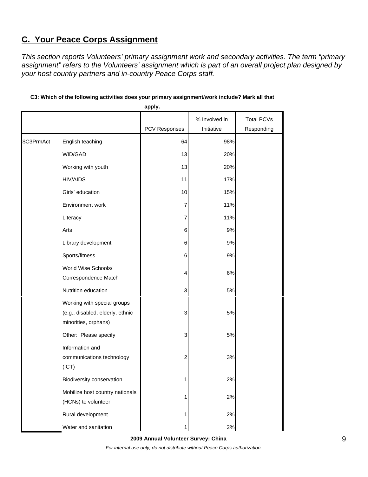## **C. Your Peace Corps Assignment**

*This section reports Volunteers' primary assignment work and secondary activities. The term "primary assignment" refers to the Volunteers' assignment which is part of an overall project plan designed by your host country partners and in-country Peace Corps staff.* 

|            |                                                                                         | apply.               |               |                   |
|------------|-----------------------------------------------------------------------------------------|----------------------|---------------|-------------------|
|            |                                                                                         |                      | % Involved in | <b>Total PCVs</b> |
|            |                                                                                         | <b>PCV Responses</b> | Initiative    | Responding        |
| \$C3PrmAct | English teaching                                                                        | 64                   | 98%           |                   |
|            | WID/GAD                                                                                 | 13                   | 20%           |                   |
|            | Working with youth                                                                      | 13                   | 20%           |                   |
|            | HIV/AIDS                                                                                | 11                   | 17%           |                   |
|            | Girls' education                                                                        | 10                   | 15%           |                   |
|            | Environment work                                                                        | 7                    | 11%           |                   |
|            | Literacy                                                                                | 7                    | 11%           |                   |
|            | Arts                                                                                    | 6                    | 9%            |                   |
|            | Library development                                                                     | 6                    | 9%            |                   |
|            | Sports/fitness                                                                          | 6                    | 9%            |                   |
|            | World Wise Schools/<br>Correspondence Match                                             | 4                    | 6%            |                   |
|            | Nutrition education                                                                     | 3                    | 5%            |                   |
|            | Working with special groups<br>(e.g., disabled, elderly, ethnic<br>minorities, orphans) | 3                    | 5%            |                   |
|            | Other: Please specify                                                                   | 3                    | 5%            |                   |
|            | Information and<br>communications technology<br>(ICT)                                   | $\overline{c}$       | 3%            |                   |
|            | Biodiversity conservation                                                               | 1                    | 2%            |                   |
|            | Mobilize host country nationals<br>(HCNs) to volunteer                                  | 1                    | 2%            |                   |
|            | Rural development                                                                       | 1                    | 2%            |                   |
|            | Water and sanitation                                                                    | 1                    | 2%            |                   |

#### **C3: Which of the following activities does your primary assignment/work include? Mark all that**

**2009 Annual Volunteer Survey: China**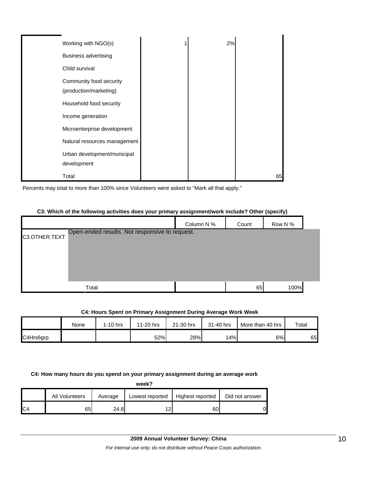| Working with NGO(s)                               | 2% |    |
|---------------------------------------------------|----|----|
| <b>Business advertising</b>                       |    |    |
| Child survival                                    |    |    |
| Community food security<br>(production/marketing) |    |    |
| Household food security                           |    |    |
| Income generation                                 |    |    |
| Microenterprise development                       |    |    |
| Natural resources management                      |    |    |
| Urban development/municipal                       |    |    |
| development                                       |    |    |
| Total                                             |    | 65 |

Percents may total to more than 100% since Volunteers were asked to "Mark all that apply."

#### **C3: Which of the following activities does your primary assignment/work include? Other (specify)**

|               |                                                | Column N % | Count | Row N % |  |
|---------------|------------------------------------------------|------------|-------|---------|--|
| C3.OTHER.TEXT | Open-ended results. Not responsive to request. |            |       |         |  |
|               |                                                |            |       |         |  |
|               |                                                |            |       |         |  |
|               |                                                |            |       |         |  |
|               | Total                                          |            | 65    | 100%    |  |

#### **C4: Hours Spent on Primary Assignment During Average Work Week**

|           | None | $1-10$ hrs | 11-20 hrs | 21-30 hrs | 31-40 hrs | More than 40 hrs | Total |
|-----------|------|------------|-----------|-----------|-----------|------------------|-------|
| C4Hrs6grp |      |            | 52%       | 28%       | 14%       | 6%               | 65    |

#### **C4: How many hours do you spend on your primary assignment during an average work**

| week?          |                |         |                 |                  |                |  |  |
|----------------|----------------|---------|-----------------|------------------|----------------|--|--|
|                | All Volunteers | Average | Lowest reported | Highest reported | Did not answer |  |  |
| C <sub>4</sub> | 65             | 24.8    | 1つ              | 60               | 0              |  |  |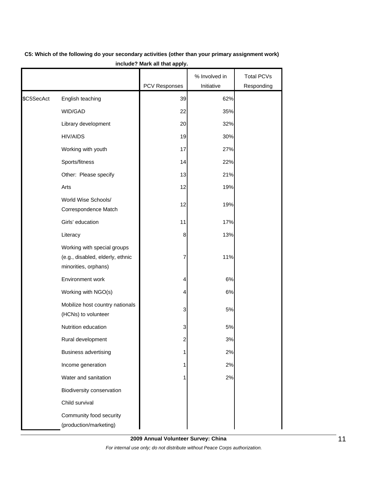|            |                                                                                         |                      | % Involved in | <b>Total PCVs</b> |
|------------|-----------------------------------------------------------------------------------------|----------------------|---------------|-------------------|
|            |                                                                                         | <b>PCV Responses</b> | Initiative    | Responding        |
| \$C5SecAct | English teaching                                                                        | 39                   | 62%           |                   |
|            | WID/GAD                                                                                 | 22                   | 35%           |                   |
|            | Library development                                                                     | 20                   | 32%           |                   |
|            | <b>HIV/AIDS</b>                                                                         | 19                   | 30%           |                   |
|            | Working with youth                                                                      | 17                   | 27%           |                   |
|            | Sports/fitness                                                                          | 14                   | 22%           |                   |
|            | Other: Please specify                                                                   | 13                   | 21%           |                   |
|            | Arts                                                                                    | 12                   | 19%           |                   |
|            | World Wise Schools/<br>Correspondence Match                                             | 12                   | 19%           |                   |
|            | Girls' education                                                                        | 11                   | 17%           |                   |
|            | Literacy                                                                                | 8                    | 13%           |                   |
|            | Working with special groups<br>(e.g., disabled, elderly, ethnic<br>minorities, orphans) | 7                    | 11%           |                   |
|            | Environment work                                                                        | 4                    | 6%            |                   |
|            | Working with NGO(s)                                                                     | 4                    | 6%            |                   |
|            | Mobilize host country nationals<br>(HCNs) to volunteer                                  | 3                    | 5%            |                   |
|            | Nutrition education                                                                     | 3                    | 5%            |                   |
|            | Rural development                                                                       | 2                    | 3%            |                   |
|            | <b>Business advertising</b>                                                             | 1                    | 2%            |                   |
|            | Income generation                                                                       | 1                    | 2%            |                   |
|            | Water and sanitation                                                                    | 1                    | 2%            |                   |
|            | Biodiversity conservation                                                               |                      |               |                   |
|            | Child survival                                                                          |                      |               |                   |
|            | Community food security<br>(production/marketing)                                       |                      |               |                   |

### **C5: Which of the following do your secondary activities (other than your primary assignment work) include? Mark all that apply.**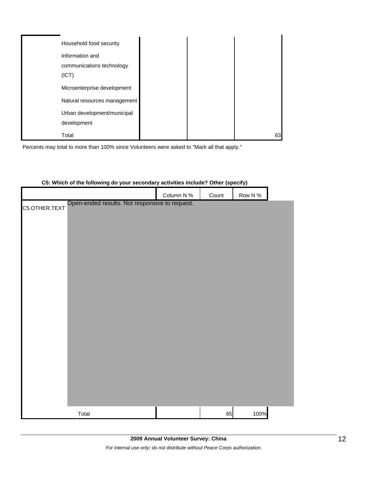| Household food security      |  |    |
|------------------------------|--|----|
| Information and              |  |    |
| communications technology    |  |    |
| (ICT)                        |  |    |
| Microenterprise development  |  |    |
| Natural resources management |  |    |
| Urban development/municipal  |  |    |
| development                  |  |    |
| Total                        |  | 63 |

Percents may total to more than 100% since Volunteers were asked to "Mark all that apply."

|                                                                 | Column N % | Count | Row N % |
|-----------------------------------------------------------------|------------|-------|---------|
| Open-ended results. Not responsive to request.<br>C5.OTHER.TEXT |            |       |         |
|                                                                 |            |       |         |
|                                                                 |            |       |         |
|                                                                 |            |       |         |
|                                                                 |            |       |         |
|                                                                 |            |       |         |
|                                                                 |            |       |         |
|                                                                 |            |       |         |
|                                                                 |            |       |         |
|                                                                 |            |       |         |
|                                                                 |            |       |         |
|                                                                 |            |       |         |
|                                                                 |            |       |         |
|                                                                 |            |       |         |
|                                                                 |            |       |         |
|                                                                 |            |       |         |
|                                                                 |            |       |         |
|                                                                 |            |       |         |
|                                                                 |            |       |         |
| Total                                                           |            | 65    | 100%    |

#### **C5: Which of the following do your secondary activities include? Other (specify)**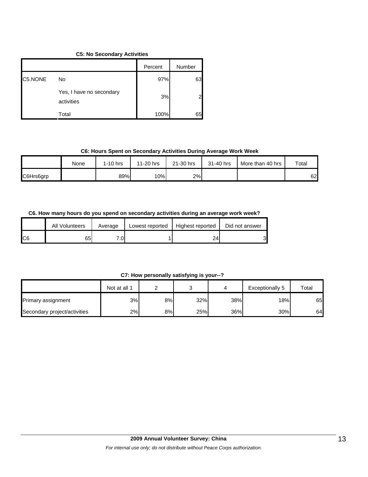#### **C5: No Secondary Activities**

|         |                                        | Percent | Number |
|---------|----------------------------------------|---------|--------|
| C5.NONE | No                                     | 97%     | 63     |
|         | Yes, I have no secondary<br>activities | 3%      |        |
|         | Total                                  | 100%    | 65     |

#### **C6: Hours Spent on Secondary Activities During Average Work Week**

|           | None | $1-10$ hrs | 11-20 hrs | 21-30 hrs | 31-40 hrs | More than 40 hrs | Total |
|-----------|------|------------|-----------|-----------|-----------|------------------|-------|
| C6Hrs6grp |      | 89%        | 10%       | 2%        |           |                  | 62    |

### **C6. How many hours do you spend on secondary activities during an average work week?**

|     | All Volunteers | Average | Lowest reported | Highest reported | Did not answer |
|-----|----------------|---------|-----------------|------------------|----------------|
| IC6 | 65             | 7.01    |                 | 24               | ົ<br>ັ         |

#### **C7: How personally satisfying is your--?**

|                              | Not at all 1 |     |     |     | Exceptionally 5 | Total |
|------------------------------|--------------|-----|-----|-----|-----------------|-------|
| <b>Primary assignment</b>    | 3%           | 8%I | 32% | 38% | 18%             | 65    |
| Secondary project/activities | 2%           | 8%l | 25% | 36% | 30%             | 64    |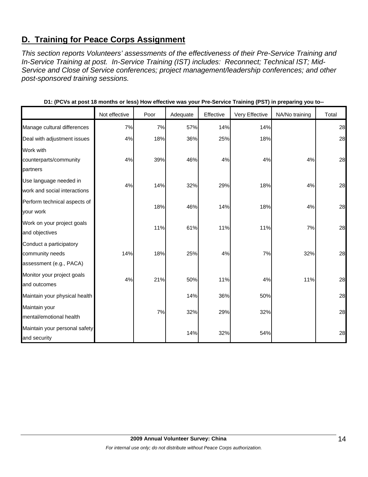## **D. Training for Peace Corps Assignment**

*This section reports Volunteers' assessments of the effectiveness of their Pre-Service Training and In-Service Training at post. In-Service Training (IST) includes: Reconnect; Technical IST; Mid-Service and Close of Service conferences; project management/leadership conferences; and other post-sponsored training sessions.* 

|                               |               |      |          |           | ັ່             | -<br>ັ້        |       |
|-------------------------------|---------------|------|----------|-----------|----------------|----------------|-------|
|                               | Not effective | Poor | Adequate | Effective | Very Effective | NA/No training | Total |
| Manage cultural differences   | 7%            | 7%   | 57%      | 14%       | 14%            |                | 28    |
| Deal with adjustment issues   | 4%            | 18%  | 36%      | 25%       | 18%            |                | 28    |
| Work with                     |               |      |          |           |                |                |       |
| counterparts/community        | 4%            | 39%  | 46%      | 4%        | 4%             | 4%             | 28    |
| partners                      |               |      |          |           |                |                |       |
| Use language needed in        | 4%            | 14%  | 32%      | 29%       | 18%            | 4%             | 28    |
| work and social interactions  |               |      |          |           |                |                |       |
| Perform technical aspects of  |               | 18%  | 46%      | 14%       | 18%            | 4%             | 28    |
| your work                     |               |      |          |           |                |                |       |
| Work on your project goals    |               | 11%  | 61%      | 11%       | 11%            | 7%             | 28    |
| and objectives                |               |      |          |           |                |                |       |
| Conduct a participatory       |               |      |          |           |                |                |       |
| community needs               | 14%           | 18%  | 25%      | 4%        | 7%             | 32%            | 28    |
| assessment (e.g., PACA)       |               |      |          |           |                |                |       |
| Monitor your project goals    | 4%            | 21%  | 50%      | 11%       | 4%             | 11%            | 28    |
| and outcomes                  |               |      |          |           |                |                |       |
| Maintain your physical health |               |      | 14%      | 36%       | 50%            |                | 28    |
| Maintain your                 |               | 7%   | 32%      | 29%       | 32%            |                | 28    |
| mental/emotional health       |               |      |          |           |                |                |       |
| Maintain your personal safety |               |      |          |           |                |                | 28    |
| and security                  |               |      | 14%      | 32%       | 54%            |                |       |

**D1: (PCVs at post 18 months or less) How effective was your Pre-Service Training (PST) in preparing you to--**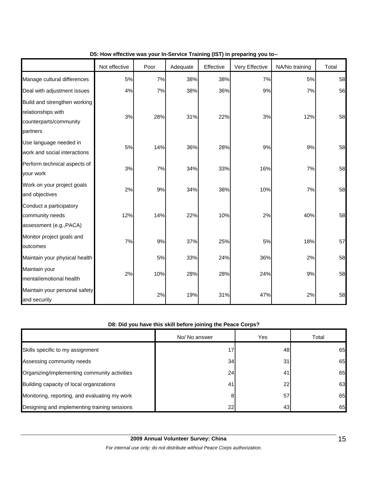|                                                                                          | Not effective | Poor | Adequate | Effective | Very Effective | NA/No training | Total |
|------------------------------------------------------------------------------------------|---------------|------|----------|-----------|----------------|----------------|-------|
| Manage cultural differences                                                              | 5%            | 7%   | 38%      | 38%       | 7%             | 5%             | 58    |
| Deal with adjustment issues                                                              | 4%            | 7%   | 38%      | 36%       | 9%             | 7%             | 56    |
| Build and strengthen working<br>relationships with<br>counterparts/community<br>partners | 3%            | 28%  | 31%      | 22%       | 3%             | 12%            | 58    |
| Use language needed in<br>work and social interactions                                   | 5%            | 14%  | 36%      | 28%       | 9%             | 9%             | 58    |
| Perform technical aspects of<br>your work                                                | 3%            | 7%   | 34%      | 33%       | 16%            | 7%             | 58    |
| Work on your project goals<br>and objectives                                             | 2%            | 9%   | 34%      | 38%       | 10%            | 7%             | 58    |
| Conduct a participatory<br>community needs<br>assessment (e.g., PACA)                    | 12%           | 14%  | 22%      | 10%       | 2%             | 40%            | 58    |
| Monitor project goals and<br>outcomes                                                    | 7%            | 9%   | 37%      | 25%       | 5%             | 18%            | 57    |
| Maintain your physical health                                                            |               | 5%   | 33%      | 24%       | 36%            | 2%             | 58    |
| Maintain your<br>mental/emotional health                                                 | 2%            | 10%  | 28%      | 28%       | 24%            | 9%             | 58    |
| Maintain your personal safety<br>and security                                            |               | 2%   | 19%      | 31%       | 47%            | 2%             | 58    |

#### **D5: How effective was your In-Service Training (IST) in preparing you to--**

### **D8: Did you have this skill before joining the Peace Corps?**

|                                               | No/ No answer | Yes | Total |
|-----------------------------------------------|---------------|-----|-------|
| Skills specific to my assignment              | 17            | 48  | 65    |
| Assessing community needs                     | 34            | 31  | 65    |
| Organizing/implementing community activities  | 24            | 41  | 65    |
| Building capacity of local organizations      | 41            | 22  | 63    |
| Monitoring, reporting, and evaluating my work | 8             | 57  | 65    |
| Designing and implementing training sessions  | 22            | 43  | 65    |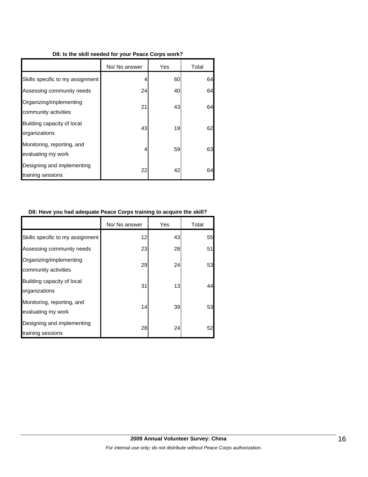#### **D8: Is the skill needed for your Peace Corps work?**

|                                                  | No/ No answer | Yes | Total |
|--------------------------------------------------|---------------|-----|-------|
| Skills specific to my assignment                 | 4             | 60  | 64    |
| Assessing community needs                        | 24            | 40  | 64    |
| Organizing/implementing<br>community activities  | 21            | 43  | 64    |
| Building capacity of local<br>organizations      | 43            | 19  | 62    |
| Monitoring, reporting, and<br>evaluating my work | 4             | 59  | 63    |
| Designing and implementing<br>training sessions  | 22            | 42  | 64    |

#### **D8: Have you had adequate Peace Corps training to acquire the skill?**

|                                                  | No/ No answer | Yes | Total |
|--------------------------------------------------|---------------|-----|-------|
| Skills specific to my assignment                 | 12            | 43  | 55    |
| Assessing community needs                        | 23            | 28  | 51    |
| Organizing/implementing<br>community activities  | 29            | 24  | 53    |
| Building capacity of local<br>organizations      | 31            | 13  | 44    |
| Monitoring, reporting, and<br>evaluating my work | 14            | 39  | 53    |
| Designing and implementing<br>training sessions  | 28            | 24  | 52    |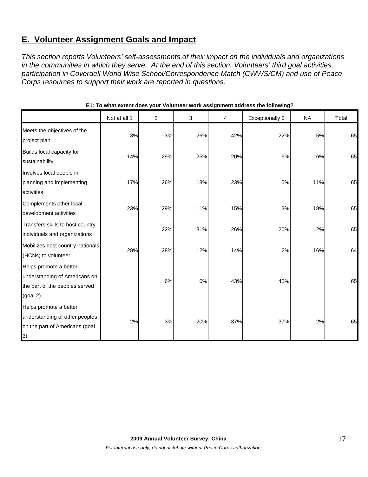## **E. Volunteer Assignment Goals and Impact**

*This section reports Volunteers' self-assessments of their impact on the individuals and organizations in the communities in which they serve. At the end of this section, Volunteers' third goal activities, participation in Coverdell World Wise School/Correspondence Match (CWWS/CM) and use of Peace Corps resources to support their work are reported in questions.* 

|                                                                                                          | Not at all 1 | 2   | 3   | 4   | Exceptionally 5 | <b>NA</b> | Total |
|----------------------------------------------------------------------------------------------------------|--------------|-----|-----|-----|-----------------|-----------|-------|
| Meets the objectives of the<br>project plan                                                              | 3%           | 3%  | 26% | 42% | 22%             | 5%        | 65    |
| Builds local capacity for<br>sustainability                                                              | 14%          | 29% | 25% | 20% | 6%              | 6%        | 65    |
| Involves local people in<br>planning and implementing<br>activities                                      | 17%          | 26% | 18% | 23% | 5%              | 11%       | 65    |
| Complements other local<br>development activities                                                        | 23%          | 29% | 11% | 15% | 3%              | 18%       | 65    |
| Transfers skills to host country<br>individuals and organizations                                        |              | 22% | 31% | 26% | 20%             | 2%        | 65    |
| Mobilizes host country nationals<br>(HCNs) to volunteer                                                  | 28%          | 28% | 12% | 14% | 2%              | 16%       | 64    |
| Helps promote a better<br>understanding of Americans on<br>the part of the peoples served<br>$(g$ oal 2) |              | 6%  | 6%  | 43% | 45%             |           | 65    |
| Helps promote a better<br>understanding of other peoples<br>on the part of Americans (goal<br>3)         | 2%           | 3%  | 20% | 37% | 37%             | 2%        | 65    |

#### **E1: To what extent does your Volunteer work assignment address the following?**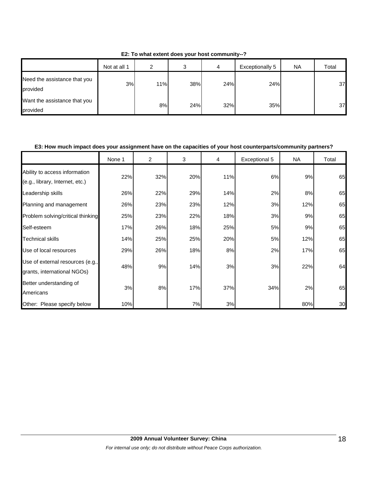Not at all 1 | 2 | 3 | 4 | Exceptionally 5 | NA | Total Need the assistance that you provided 3% 11% 38% 24% 24% 37 Want the assistance that you

provided

**E2: To what extent does your host community--?**

#### **E3: How much impact does your assignment have on the capacities of your host counterparts/community partners?**

8% 24% 32% 35% 35% 37

|                                                                  | None 1 | $\overline{2}$ | 3   | 4   | Exceptional 5 | <b>NA</b> | Total |
|------------------------------------------------------------------|--------|----------------|-----|-----|---------------|-----------|-------|
| Ability to access information<br>(e.g., library, Internet, etc.) | 22%    | 32%            | 20% | 11% | 6%            | 9%        | 65    |
| Leadership skills                                                | 26%    | 22%            | 29% | 14% | 2%            | 8%        | 65    |
| Planning and management                                          | 26%    | 23%            | 23% | 12% | 3%            | 12%       | 65    |
| Problem solving/critical thinking                                | 25%    | 23%            | 22% | 18% | 3%            | 9%        | 65    |
| Self-esteem                                                      | 17%    | 26%            | 18% | 25% | 5%            | 9%        | 65    |
| <b>Technical skills</b>                                          | 14%    | 25%            | 25% | 20% | 5%            | 12%       | 65    |
| Use of local resources                                           | 29%    | 26%            | 18% | 8%  | 2%            | 17%       | 65    |
| Use of external resources (e.g.,<br>grants, international NGOs)  | 48%    | 9%             | 14% | 3%  | 3%            | 22%       | 64    |
| Better understanding of<br>Americans                             | 3%     | 8%             | 17% | 37% | 34%           | 2%        | 65    |
| Other: Please specify below                                      | 10%    |                | 7%  | 3%  |               | 80%       | 30    |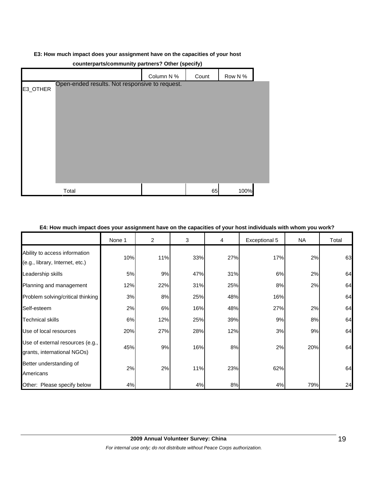#### **E3: How much impact does your assignment have on the capacities of your host**

|          | .<br>.                                         | $ -$       |       |         |  |
|----------|------------------------------------------------|------------|-------|---------|--|
|          |                                                | Column N % | Count | Row N % |  |
| E3_OTHER | Open-ended results. Not responsive to request. |            |       |         |  |
|          |                                                |            |       |         |  |
|          |                                                |            |       |         |  |
|          |                                                |            |       |         |  |
|          |                                                |            |       |         |  |
|          |                                                |            |       |         |  |
|          |                                                |            |       |         |  |
|          |                                                |            |       |         |  |
|          |                                                |            |       |         |  |
|          | Total                                          |            | 65    | 100%    |  |

#### **counterparts/community partners? Other (specify)**

#### **E4: How much impact does your assignment have on the capacities of your host individuals with whom you work?**

|                                                                  | None 1 | 2   | 3   | 4   | Exceptional 5 | <b>NA</b> | Total |
|------------------------------------------------------------------|--------|-----|-----|-----|---------------|-----------|-------|
| Ability to access information<br>(e.g., library, Internet, etc.) | 10%    | 11% | 33% | 27% | 17%           | 2%        | 63    |
| Leadership skills                                                | 5%     | 9%  | 47% | 31% | 6%            | 2%        | 64    |
| Planning and management                                          | 12%    | 22% | 31% | 25% | 8%            | 2%        | 64    |
| Problem solving/critical thinking                                | 3%     | 8%  | 25% | 48% | 16%           |           | 64    |
| Self-esteem                                                      | 2%     | 6%  | 16% | 48% | 27%           | 2%        | 64    |
| Technical skills                                                 | 6%     | 12% | 25% | 39% | 9%            | 8%        | 64    |
| Use of local resources                                           | 20%    | 27% | 28% | 12% | 3%            | 9%        | 64    |
| Use of external resources (e.g.,<br>grants, international NGOs)  | 45%    | 9%  | 16% | 8%  | 2%            | 20%       | 64    |
| Better understanding of<br>Americans                             | 2%     | 2%  | 11% | 23% | 62%           |           | 64    |
| Other: Please specify below                                      | 4%     |     | 4%  | 8%  | 4%            | 79%       | 24    |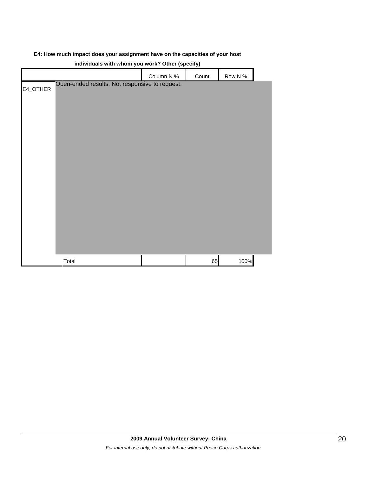#### **E4: How much impact does your assignment have on the capacities of your host**

| marriages with whom you work: Other (specify)              |            |       |         |  |  |  |  |  |
|------------------------------------------------------------|------------|-------|---------|--|--|--|--|--|
|                                                            | Column N % | Count | Row N % |  |  |  |  |  |
| Open-ended results. Not responsive to request.<br>E4_OTHER |            |       |         |  |  |  |  |  |
| Total                                                      |            | 65    | 100%    |  |  |  |  |  |

#### **individuals with whom you work? Other (specify)**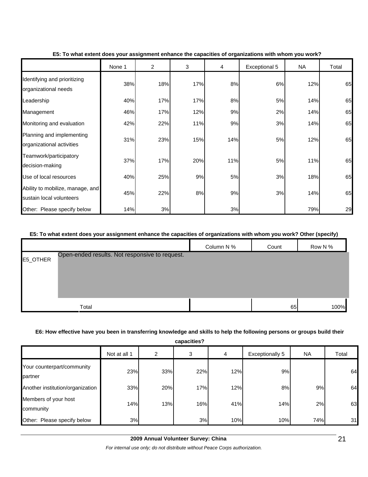|                                                              | None 1 | $\overline{2}$ | 3   | 4   | Exceptional 5 | <b>NA</b> | Total |
|--------------------------------------------------------------|--------|----------------|-----|-----|---------------|-----------|-------|
| Identifying and prioritizing<br>organizational needs         | 38%    | 18%            | 17% | 8%  | 6%            | 12%       | 65    |
| Leadership                                                   | 40%    | 17%            | 17% | 8%  | 5%            | 14%       | 65    |
| Management                                                   | 46%    | 17%            | 12% | 9%  | 2%            | 14%       | 65    |
| Monitoring and evaluation                                    | 42%    | 22%            | 11% | 9%  | 3%            | 14%       | 65    |
| Planning and implementing<br>organizational activities       | 31%    | 23%            | 15% | 14% | 5%            | 12%       | 65    |
| Teamwork/participatory<br>decision-making                    | 37%    | 17%            | 20% | 11% | 5%            | 11%       | 65    |
| Use of local resources                                       | 40%    | 25%            | 9%  | 5%  | 3%            | 18%       | 65    |
| Ability to mobilize, manage, and<br>sustain local volunteers | 45%    | 22%            | 8%  | 9%  | 3%            | 14%       | 65    |
| Other: Please specify below                                  | 14%    | 3%             |     | 3%  |               | 79%       | 29    |

#### **E5: To what extent does your assignment enhance the capacities of organizations with whom you work?**

#### **E5: To what extent does your assignment enhance the capacities of organizations with whom you work? Other (specify)**

|          |                                                | Column N % | Count | Row N % |
|----------|------------------------------------------------|------------|-------|---------|
| E5_OTHER | Open-ended results. Not responsive to request. |            |       |         |
|          |                                                |            |       |         |
|          |                                                |            |       |         |
|          |                                                |            |       |         |
|          | Total                                          |            | 65    | 100%    |

#### **E6: How effective have you been in transferring knowledge and skills to help the following persons or groups build their**

**capacities?**

|                                       | Not at all 1 | 2   | 3   | 4   | <b>Exceptionally 5</b> | <b>NA</b> | Total |
|---------------------------------------|--------------|-----|-----|-----|------------------------|-----------|-------|
| Your counterpart/community<br>partner | 23%          | 33% | 22% | 12% | 9%                     |           | 64    |
| Another institution/organization      | 33%          | 20% | 17% | 12% | 8%                     | 9%        | 64    |
| Members of your host<br>community     | 14%          | 13% | 16% | 41% | 14%                    | 2%        | 63    |
| Other: Please specify below           | 3%           |     | 3%  | 10% | 10%                    | 74%       | 31    |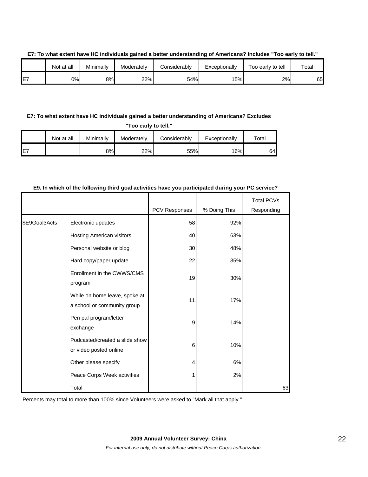|     | Not at all | Minimally | Moderately | Considerably | Exceptionally | Too early to tell | Total |
|-----|------------|-----------|------------|--------------|---------------|-------------------|-------|
| IE7 | 0%I        | 8%        | 22%        | 54%          | 15%           | 2%                | 65    |

#### **E7: To what extent have HC individuals gained a better understanding of Americans? Includes "Too early to tell."**

#### **E7: To what extent have HC individuals gained a better understanding of Americans? Excludes**

**"Too early to tell."**

|                 | Not at all | Minimally | Moderately | Considerably | Exceptionally | $\tau$ otal |
|-----------------|------------|-----------|------------|--------------|---------------|-------------|
| IE <sub>7</sub> |            | 8%        | 22%        | 55%          | 16%           | 64.         |

#### **E9. In which of the following third goal activities have you participated during your PC service?**

|               |                                                              | PCV Responses | % Doing This | <b>Total PCVs</b><br>Responding |
|---------------|--------------------------------------------------------------|---------------|--------------|---------------------------------|
| \$E9Goal3Acts | Electronic updates                                           | 58            | 92%          |                                 |
|               | <b>Hosting American visitors</b>                             | 40            | 63%          |                                 |
|               | Personal website or blog                                     | 30            | 48%          |                                 |
|               | Hard copy/paper update                                       | 22            | 35%          |                                 |
|               | Enrollment in the CWWS/CMS<br>program                        | 19            | 30%          |                                 |
|               | While on home leave, spoke at<br>a school or community group | 11            | 17%          |                                 |
|               | Pen pal program/letter<br>exchange                           | 9             | 14%          |                                 |
|               | Podcasted/created a slide show<br>or video posted online     | 6             | 10%          |                                 |
|               | Other please specify                                         | 4             | 6%           |                                 |
|               | Peace Corps Week activities                                  |               | 2%           |                                 |
|               | Total                                                        |               |              | 63                              |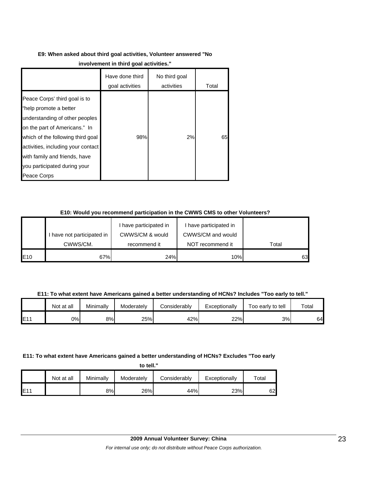## **E9: When asked about third goal activities, Volunteer answered "No**

|                                                                                                                                                                                                                                                                                       | Have done third<br>goal activities | No third goal<br>activities | Total |
|---------------------------------------------------------------------------------------------------------------------------------------------------------------------------------------------------------------------------------------------------------------------------------------|------------------------------------|-----------------------------|-------|
| Peace Corps' third goal is to<br>"help promote a better<br>understanding of other peoples<br>on the part of Americans." In<br>which of the following third goal<br>activities, including your contact<br>with family and friends, have<br>you participated during your<br>Peace Corps | 98%                                | 2%                          | 65    |

#### **E10: Would you recommend participation in the CWWS CMS to other Volunteers?**

|     |                            | have participated in | I have participated in |       |
|-----|----------------------------|----------------------|------------------------|-------|
|     | I have not participated in | CWWS/CM & would      | CWWS/CM and would      |       |
|     | CWWS/CM.                   | recommend it         | NOT recommend it       | Total |
| E10 | 67%                        | 24%                  | 10%                    | 63I   |

**E11: To what extent have Americans gained a better understanding of HCNs? Includes "Too early to tell."**

|     | Not at all | Minimally | Moderately | Considerably | Exceptionally | Too early to tell | Total |
|-----|------------|-----------|------------|--------------|---------------|-------------------|-------|
| E11 | 0%I        | 8%        | 25%        | 42%          | 22%           | 3%                | 64    |

#### **E11: To what extent have Americans gained a better understanding of HCNs? Excludes "Too early**

**to tell."**

|     | Not at all | Minimally | Moderately | Considerably | Exceptionally | $\tau$ otal |
|-----|------------|-----------|------------|--------------|---------------|-------------|
| E11 |            | 8%        | 26%        | 44%          | 23%           | 62.         |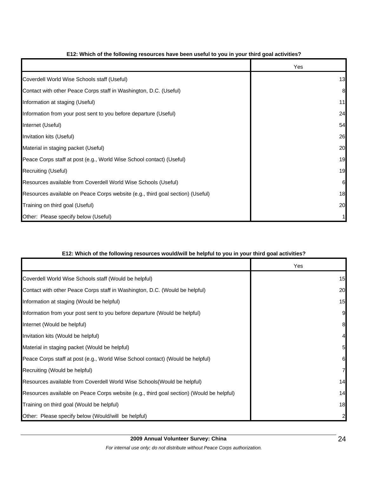|                                                                                | Yes |
|--------------------------------------------------------------------------------|-----|
| Coverdell World Wise Schools staff (Useful)                                    | 13  |
| Contact with other Peace Corps staff in Washington, D.C. (Useful)              | 8   |
| Information at staging (Useful)                                                | 11  |
| Information from your post sent to you before departure (Useful)               | 24  |
| Internet (Useful)                                                              | 54  |
| Invitation kits (Useful)                                                       | 26  |
| Material in staging packet (Useful)                                            | 20  |
| Peace Corps staff at post (e.g., World Wise School contact) (Useful)           | 19  |
| Recruiting (Useful)                                                            | 19  |
| Resources available from Coverdell World Wise Schools (Useful)                 | 6   |
| Resources available on Peace Corps website (e.g., third goal section) (Useful) | 18  |
| Training on third goal (Useful)                                                | 20  |
| Other: Please specify below (Useful)                                           |     |

#### **E12: Which of the following resources have been useful to you in your third goal activities?**

#### **E12: Which of the following resources would/will be helpful to you in your third goal activities?**

|                                                                                          | Yes            |
|------------------------------------------------------------------------------------------|----------------|
| Coverdell World Wise Schools staff (Would be helpful)                                    | 15             |
| Contact with other Peace Corps staff in Washington, D.C. (Would be helpful)              | 20             |
| Information at staging (Would be helpful)                                                | 15             |
| Information from your post sent to you before departure (Would be helpful)               | 9              |
| Internet (Would be helpful)                                                              | 8              |
| Invitation kits (Would be helpful)                                                       | $\overline{4}$ |
| Material in staging packet (Would be helpful)                                            | 5 <sub>l</sub> |
| Peace Corps staff at post (e.g., World Wise School contact) (Would be helpful)           | 6              |
| Recruiting (Would be helpful)                                                            | $\overline{7}$ |
| Resources available from Coverdell World Wise Schools (Would be helpful)                 | 14             |
| Resources available on Peace Corps website (e.g., third goal section) (Would be helpful) | 14             |
| Training on third goal (Would be helpful)                                                | 18             |
| Other: Please specify below (Would/will be helpful)                                      | $\mathbf{2}$   |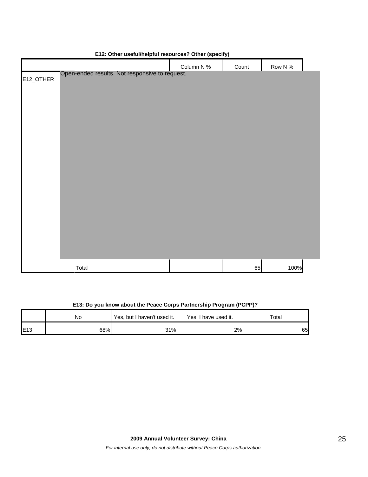|           |                                                | . .        | . .   |            |  |
|-----------|------------------------------------------------|------------|-------|------------|--|
|           |                                                | Column N % | Count | Row N $\%$ |  |
| E12_OTHER | Open-ended results. Not responsive to request. |            |       |            |  |
|           |                                                |            |       |            |  |
|           |                                                |            |       |            |  |
|           |                                                |            |       |            |  |
|           |                                                |            |       |            |  |
|           |                                                |            |       |            |  |
|           |                                                |            |       |            |  |
|           |                                                |            |       |            |  |
|           |                                                |            |       |            |  |
|           |                                                |            |       |            |  |
|           |                                                |            |       |            |  |
|           |                                                |            |       |            |  |
|           |                                                |            |       |            |  |
|           |                                                |            |       |            |  |
|           |                                                |            |       |            |  |
|           |                                                |            |       |            |  |
|           |                                                |            |       |            |  |
|           |                                                |            |       |            |  |
|           |                                                |            |       |            |  |
|           |                                                |            |       |            |  |
|           |                                                |            |       |            |  |
|           | Total                                          |            | 65    | 100%       |  |

#### **E12: Other useful/helpful resources? Other (specify)**

### **E13: Do you know about the Peace Corps Partnership Program (PCPP)?**

|     | No  | Yes, but I haven't used it. | Yes, I have used it. | Total |
|-----|-----|-----------------------------|----------------------|-------|
| E13 | 68% | 31%                         | 2%                   | 65    |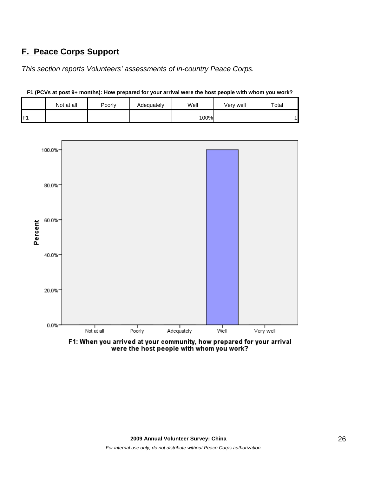## **F. Peace Corps Support**

*This section reports Volunteers' assessments of in-country Peace Corps.* 

|    | Not at all | Poorly | Adequately | Well | Very well | Total |
|----|------------|--------|------------|------|-----------|-------|
| E. |            |        |            | 100% |           |       |



**F1 (PCVs at post 9+ months): How prepared for your arrival were the host people with whom you work?**

F1: When you arrived at your community, how prepared for your arrival were the host people with whom you work?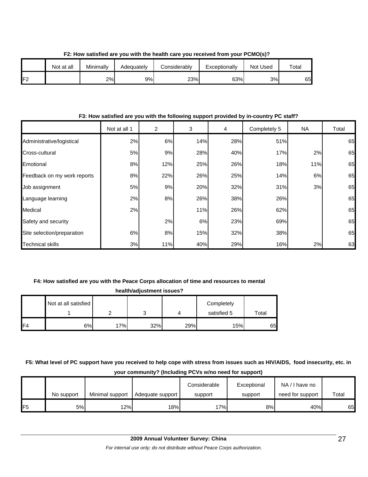|     | Not at all | Minimally | Adequately | Considerably | Exceptionally | Not Used | Total |
|-----|------------|-----------|------------|--------------|---------------|----------|-------|
| IF2 |            | 2%        | 9%         | 23%          | 63%           | 3%       | 65    |

**F2: How satisfied are you with the health care you received from your PCMO(s)?**

#### **F3: How satisfied are you with the following support provided by in-country PC staff?**

|                             | Not at all 1 | $\overline{c}$ | 3   | 4   | Completely 5 | <b>NA</b> | Total |
|-----------------------------|--------------|----------------|-----|-----|--------------|-----------|-------|
| Administrative/logistical   | 2%           | 6%             | 14% | 28% | 51%          |           | 65    |
| Cross-cultural              | 5%           | 9%             | 28% | 40% | 17%          | 2%        | 65    |
| Emotional                   | 8%           | 12%            | 25% | 26% | 18%          | 11%       | 65    |
| Feedback on my work reports | 8%           | 22%            | 26% | 25% | 14%          | 6%        | 65    |
| Job assignment              | 5%           | 9%             | 20% | 32% | 31%          | 3%        | 65    |
| Language learning           | 2%           | 8%             | 26% | 38% | 26%          |           | 65    |
| Medical                     | 2%           |                | 11% | 26% | 62%          |           | 65    |
| Safety and security         |              | 2%             | 6%  | 23% | 69%          |           | 65    |
| Site selection/preparation  | 6%           | 8%             | 15% | 32% | 38%          |           | 65    |
| <b>Technical skills</b>     | 3%           | 11%            | 40% | 29% | 16%          | 2%        | 63    |

#### **F4: How satisfied are you with the Peace Corps allocation of time and resources to mental**

| health/adjustment issues? |                      |     |     |     |             |       |  |  |
|---------------------------|----------------------|-----|-----|-----|-------------|-------|--|--|
|                           | Not at all satisfied |     |     |     | Completely  |       |  |  |
|                           |                      |     |     |     | satisfied 5 | Total |  |  |
| F <sub>4</sub>            | 6%                   | 17% | 32% | 29% | 15%         | 65    |  |  |

### **F5: What level of PC support have you received to help cope with stress from issues such as HIV/AIDS, food insecurity, etc. in your community? (Including PCVs w/no need for support)**

|                 | No support | Minimal support | Adequate support | Considerable<br>support | Exceptional<br>support | NA/I have no<br>need for support | Total |
|-----------------|------------|-----------------|------------------|-------------------------|------------------------|----------------------------------|-------|
| IF <sub>5</sub> | 5%l        | 12%             | 18%              | 17%                     | 8%                     | 40%                              | 65    |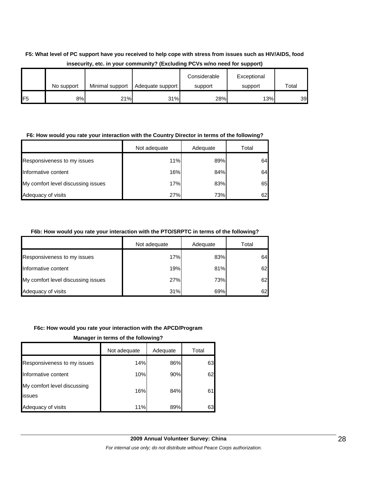### **F5: What level of PC support have you received to help cope with stress from issues such as HIV/AIDS, food insecurity, etc. in your community? (Excluding PCVs w/no need for support)**

|                 | No support | Minimal support | Adequate support | Considerable<br>support | Exceptional<br>support | Total |
|-----------------|------------|-----------------|------------------|-------------------------|------------------------|-------|
| IF <sub>5</sub> | 8%         | 21%             | 31%              | 28%                     | 13%                    | 39    |

#### **F6: How would you rate your interaction with the Country Director in terms of the following?**

|                                    | Not adequate | Adequate | Total |
|------------------------------------|--------------|----------|-------|
| Responsiveness to my issues        | 11%          | 89%      | 64    |
| Informative content                | 16%          | 84%      | 64    |
| My comfort level discussing issues | 17%          | 83%      | 65    |
| Adequacy of visits                 | 27%          | 73%      | 62    |

#### **F6b: How would you rate your interaction with the PTO/SRPTC in terms of the following?**

|                                    | Not adequate | Adequate | Total |
|------------------------------------|--------------|----------|-------|
| Responsiveness to my issues        | 17%          | 83%      | 64    |
| Informative content                | 19%          | 81%      | 62    |
| My comfort level discussing issues | 27%          | 73%      | 62    |
| Adequacy of visits                 | 31%          | 69%      | 62    |

#### **F6c: How would you rate your interaction with the APCD/Program**

**Manager in terms of the following?**

|                                       | Not adequate | Adequate | Total |
|---------------------------------------|--------------|----------|-------|
| Responsiveness to my issues           | 14%          | 86%      | 63    |
| Informative content                   | 10%          | 90%      | 62    |
| My comfort level discussing<br>issues | 16%          | 84%      |       |
| Adequacy of visits                    | 11%          | 89%      | 63    |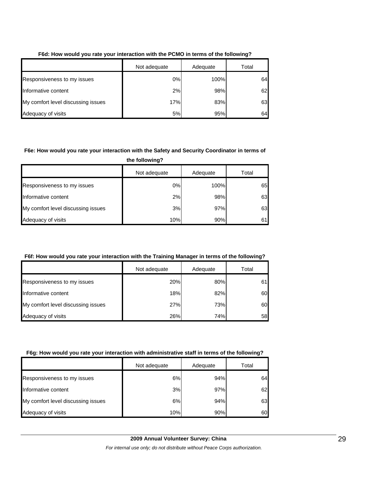|                                    | Not adequate<br>Adequate |      | Total |
|------------------------------------|--------------------------|------|-------|
| Responsiveness to my issues        | 0%                       | 100% | 64    |
| Informative content                | 2%                       | 98%  | 62    |
| My comfort level discussing issues | 17%                      | 83%  | 63    |
| Adequacy of visits                 | 5%                       | 95%  | 64    |

#### **F6d: How would you rate your interaction with the PCMO in terms of the following?**

#### **F6e: How would you rate your interaction with the Safety and Security Coordinator in terms of**

**the following?**

|                                    | Not adequate | Adequate | Total |
|------------------------------------|--------------|----------|-------|
| Responsiveness to my issues        | 0%           | 100%     | 65    |
| Informative content                | 2%           | 98%      | 63    |
| My comfort level discussing issues | 3%           | 97%      | 63    |
| Adequacy of visits                 | 10%          | 90%      | 61    |

#### **F6f: How would you rate your interaction with the Training Manager in terms of the following?**

|                                    | Not adequate | Adequate | Total |
|------------------------------------|--------------|----------|-------|
| Responsiveness to my issues        | 20%          | 80%      | 61I   |
| Informative content                | 18%          | 82%      | 60    |
| My comfort level discussing issues | 27%          | 73%      | 60    |
| Adequacy of visits                 | 26%          | 74%      | 58    |

#### **F6g: How would you rate your interaction with administrative staff in terms of the following?**

|                                    | Not adequate | Adequate | Total |
|------------------------------------|--------------|----------|-------|
| Responsiveness to my issues        | 6%           | 94%      | 64    |
| Informative content                | 3%           | 97%      | 62    |
| My comfort level discussing issues | 6%           | 94%      | 63    |
| Adequacy of visits                 | 10%          | 90%      | 60    |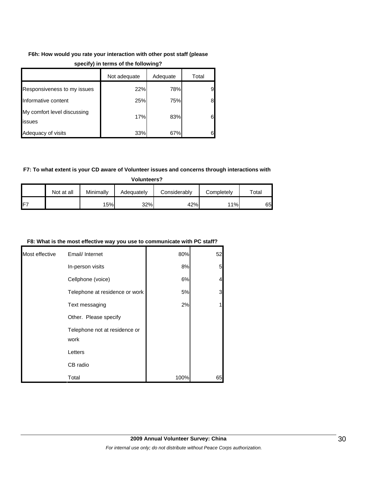## **F6h: How would you rate your interaction with other post staff (please**

|                                       | Not adequate | Adequate | Total |
|---------------------------------------|--------------|----------|-------|
| Responsiveness to my issues           | 22%          | 78%      | 9     |
| Informative content                   | 25%          | 75%      | 8     |
| My comfort level discussing<br>issues | 17%          | 83%      | 6     |
| Adequacy of visits                    | 33%          | 67%      | 6     |

#### **specify) in terms of the following?**

#### **F7: To what extent is your CD aware of Volunteer issues and concerns through interactions with**

**Volunteers?**

|                 | Not at all | Minimallv | Adequatelv | Considerablv | Completelv | Total |
|-----------------|------------|-----------|------------|--------------|------------|-------|
| IF <sub>7</sub> |            | 5%        | 32%        | 42%          | 11%        | 65I   |

#### **F8: What is the most effective way you use to communicate with PC staff?**

| Most effective | Email/ Internet                       | 80%  | 52             |
|----------------|---------------------------------------|------|----------------|
|                | In-person visits                      | 8%   | 5              |
|                | Cellphone (voice)                     | 6%   | $\overline{4}$ |
|                | Telephone at residence or work        | 5%   | 3              |
|                | Text messaging                        | 2%   |                |
|                | Other. Please specify                 |      |                |
|                | Telephone not at residence or<br>work |      |                |
|                | Letters                               |      |                |
|                | CB radio                              |      |                |
|                | Total                                 | 100% | 65             |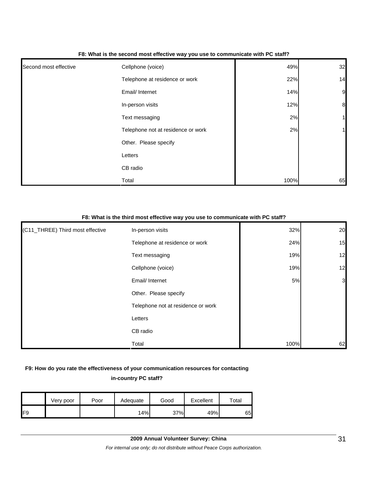| Second most effective | Cellphone (voice)                  | 49%  | 32               |
|-----------------------|------------------------------------|------|------------------|
|                       | Telephone at residence or work     | 22%  | 14               |
|                       | Email/ Internet                    | 14%  | $\overline{9}$   |
|                       | In-person visits                   | 12%  | $\boldsymbol{8}$ |
|                       | Text messaging                     | 2%   | 1                |
|                       | Telephone not at residence or work | 2%   | 1                |
|                       | Other. Please specify              |      |                  |
|                       | Letters                            |      |                  |
|                       | CB radio                           |      |                  |
|                       | Total                              | 100% | 65               |

#### **F8: What is the second most effective way you use to communicate with PC staff?**

#### **F8: What is the third most effective way you use to communicate with PC staff?**

| (C11_THREE) Third most effective | In-person visits                   | 32%  | 20             |
|----------------------------------|------------------------------------|------|----------------|
|                                  | Telephone at residence or work     | 24%  | 15             |
|                                  | Text messaging                     | 19%  | 12             |
|                                  | Cellphone (voice)                  | 19%  | 12             |
|                                  | Email/ Internet                    | 5%   | $\overline{3}$ |
|                                  | Other. Please specify              |      |                |
|                                  | Telephone not at residence or work |      |                |
|                                  | Letters                            |      |                |
|                                  | CB radio                           |      |                |
|                                  | Total                              | 100% | 62             |

### **F9: How do you rate the effectiveness of your communication resources for contacting in-country PC staff?**

|     | Very poor | Poor | Adequate | Good | Excellent | $\tau$ otal |
|-----|-----------|------|----------|------|-----------|-------------|
| IF9 |           |      | 14%      | 37%  | 49%       | 65          |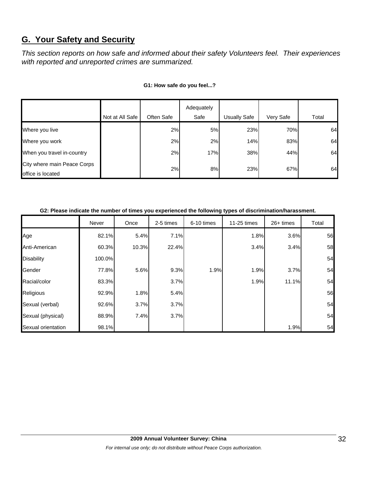## **G. Your Safety and Security**

*This section reports on how safe and informed about their safety Volunteers feel. Their experiences with reported and unreported crimes are summarized.* 

|                                                  |                 |            | Adequately |                     |           |       |
|--------------------------------------------------|-----------------|------------|------------|---------------------|-----------|-------|
|                                                  | Not at All Safe | Often Safe | Safe       | <b>Usually Safe</b> | Very Safe | Total |
| Where you live                                   |                 | 2%         | 5%         | 23%                 | 70%       | 64    |
| Where you work                                   |                 | 2%         | 2%         | 14%                 | 83%       | 64    |
| When you travel in-country                       |                 | 2%         | 17%        | 38%                 | 44%       | 64    |
| City where main Peace Corps<br>office is located |                 | 2%         | 8%         | 23%                 | 67%       | 64    |

#### **G1: How safe do you feel...?**

#### **G2: Please indicate the number of times you experienced the following types of discrimination/harassment.**

|                    | Never  | Once  | 2-5 times | 6-10 times | 11-25 times | 26+ times | Total |
|--------------------|--------|-------|-----------|------------|-------------|-----------|-------|
| Age                | 82.1%  | 5.4%  | 7.1%      |            | 1.8%        | 3.6%      | 56    |
| Anti-American      | 60.3%  | 10.3% | 22.4%     |            | 3.4%        | 3.4%      | 58    |
| <b>Disability</b>  | 100.0% |       |           |            |             |           | 54    |
| Gender             | 77.8%  | 5.6%  | 9.3%      | 1.9%       | 1.9%        | 3.7%      | 54    |
| Racial/color       | 83.3%  |       | 3.7%      |            | 1.9%        | 11.1%     | 54    |
| Religious          | 92.9%  | 1.8%  | 5.4%      |            |             |           | 56    |
| Sexual (verbal)    | 92.6%  | 3.7%  | 3.7%      |            |             |           | 54    |
| Sexual (physical)  | 88.9%  | 7.4%  | 3.7%      |            |             |           | 54    |
| Sexual orientation | 98.1%  |       |           |            |             | 1.9%      | 54    |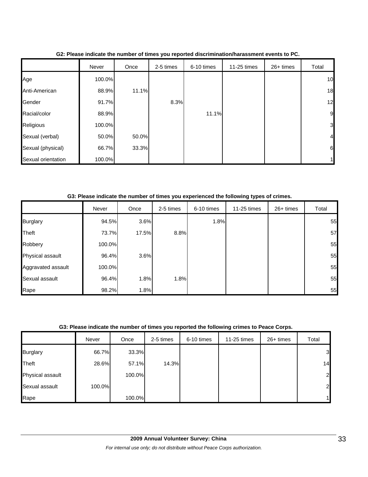|                    | Never  | Once  | 2-5 times | 6-10 times | 11-25 times | 26+ times | Total          |
|--------------------|--------|-------|-----------|------------|-------------|-----------|----------------|
| Age                | 100.0% |       |           |            |             |           | 10             |
| Anti-American      | 88.9%  | 11.1% |           |            |             |           | 18             |
| Gender             | 91.7%  |       | 8.3%      |            |             |           | 12             |
| Racial/color       | 88.9%  |       |           | 11.1%      |             |           | 9              |
| Religious          | 100.0% |       |           |            |             |           | 3              |
| Sexual (verbal)    | 50.0%  | 50.0% |           |            |             |           | $\overline{4}$ |
| Sexual (physical)  | 66.7%  | 33.3% |           |            |             |           | 6              |
| Sexual orientation | 100.0% |       |           |            |             |           | 1              |

**G2: Please indicate the number of times you reported discrimination/harassment events to PC.**

**G3: Please indicate the number of times you experienced the following types of crimes.**

|                    | Never  | Once  | 2-5 times | 6-10 times | 11-25 times | $26+$ times | Total |
|--------------------|--------|-------|-----------|------------|-------------|-------------|-------|
| <b>Burglary</b>    | 94.5%  | 3.6%  |           | 1.8%       |             |             | 55    |
| Theft              | 73.7%  | 17.5% | 8.8%      |            |             |             | 57    |
| Robbery            | 100.0% |       |           |            |             |             | 55    |
| Physical assault   | 96.4%  | 3.6%  |           |            |             |             | 55    |
| Aggravated assault | 100.0% |       |           |            |             |             | 55    |
| Sexual assault     | 96.4%  | 1.8%  | 1.8%      |            |             |             | 55    |
| Rape               | 98.2%  | 1.8%  |           |            |             |             | 55    |

#### **G3: Please indicate the number of times you reported the following crimes to Peace Corps.**

|                  | Never  | Once   | 2-5 times | 6-10 times | 11-25 times | 26+ times | Total          |
|------------------|--------|--------|-----------|------------|-------------|-----------|----------------|
| <b>Burglary</b>  | 66.7%  | 33.3%  |           |            |             |           | $\overline{3}$ |
| Theft            | 28.6%  | 57.1%  | 14.3%     |            |             |           | 14             |
| Physical assault |        | 100.0% |           |            |             |           | $\overline{a}$ |
| Sexual assault   | 100.0% |        |           |            |             |           | $\overline{a}$ |
| Rape             |        | 100.0% |           |            |             |           | 1              |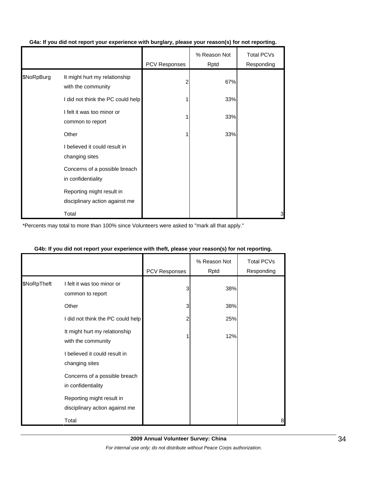|            |                                                             | PCV Responses | % Reason Not<br>Rptd | <b>Total PCVs</b><br>Responding |
|------------|-------------------------------------------------------------|---------------|----------------------|---------------------------------|
| \$NoRpBurg | It might hurt my relationship<br>with the community         |               | 67%                  |                                 |
|            | I did not think the PC could help                           |               | 33%                  |                                 |
|            | I felt it was too minor or<br>common to report              |               | 33%                  |                                 |
|            | Other                                                       |               | 33%                  |                                 |
|            | I believed it could result in<br>changing sites             |               |                      |                                 |
|            | Concerns of a possible breach<br>in confidentiality         |               |                      |                                 |
|            | Reporting might result in<br>disciplinary action against me |               |                      |                                 |
|            | Total                                                       |               |                      | 3                               |

### **G4a: If you did not report your experience with burglary, please your reason(s) for not reporting.**

\*Percents may total to more than 100% since Volunteers were asked to "mark all that apply."

|             |                                                             | PCV Responses | % Reason Not<br>Rptd | Total PCVs<br>Responding |
|-------------|-------------------------------------------------------------|---------------|----------------------|--------------------------|
| \$NoRpTheft | I felt it was too minor or<br>common to report              | 3             | 38%                  |                          |
|             | Other                                                       | 3             | 38%                  |                          |
|             | I did not think the PC could help                           |               | 25%                  |                          |
|             | It might hurt my relationship<br>with the community         |               | 12%                  |                          |
|             | I believed it could result in<br>changing sites             |               |                      |                          |
|             | Concerns of a possible breach<br>in confidentiality         |               |                      |                          |
|             | Reporting might result in<br>disciplinary action against me |               |                      |                          |
|             | Total                                                       |               |                      | 8                        |

### **G4b: If you did not report your experience with theft, please your reason(s) for not reporting.**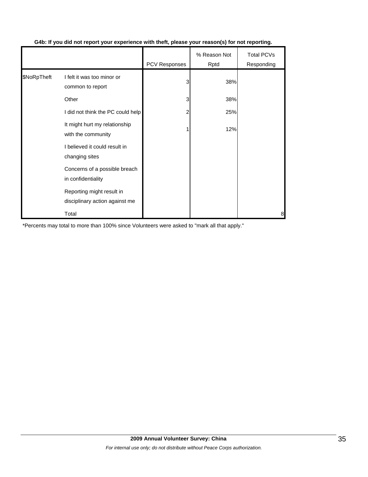|             |                                                             | PCV Responses | % Reason Not<br>Rptd | Total PCVs<br>Responding |
|-------------|-------------------------------------------------------------|---------------|----------------------|--------------------------|
| \$NoRpTheft | I felt it was too minor or<br>common to report              | 3             | 38%                  |                          |
|             | Other                                                       | 3             | 38%                  |                          |
|             | I did not think the PC could help                           | 2             | 25%                  |                          |
|             | It might hurt my relationship<br>with the community         |               | 12%                  |                          |
|             | I believed it could result in<br>changing sites             |               |                      |                          |
|             | Concerns of a possible breach<br>in confidentiality         |               |                      |                          |
|             | Reporting might result in<br>disciplinary action against me |               |                      |                          |
|             | Total                                                       |               |                      | 8                        |

### **G4b: If you did not report your experience with theft, please your reason(s) for not reporting.**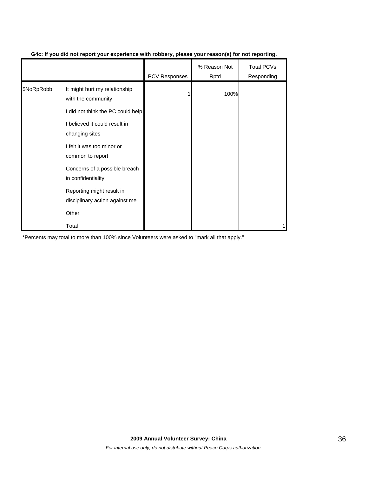|            |                                                             | <b>PCV Responses</b> | % Reason Not<br>Rptd | <b>Total PCVs</b><br>Responding |
|------------|-------------------------------------------------------------|----------------------|----------------------|---------------------------------|
| \$NoRpRobb | It might hurt my relationship<br>with the community         |                      | 100%                 |                                 |
|            | I did not think the PC could help                           |                      |                      |                                 |
|            | I believed it could result in<br>changing sites             |                      |                      |                                 |
|            | I felt it was too minor or<br>common to report              |                      |                      |                                 |
|            | Concerns of a possible breach<br>in confidentiality         |                      |                      |                                 |
|            | Reporting might result in<br>disciplinary action against me |                      |                      |                                 |
|            | Other                                                       |                      |                      |                                 |
|            | Total                                                       |                      |                      |                                 |

#### **G4c: If you did not report your experience with robbery, please your reason(s) for not reporting.**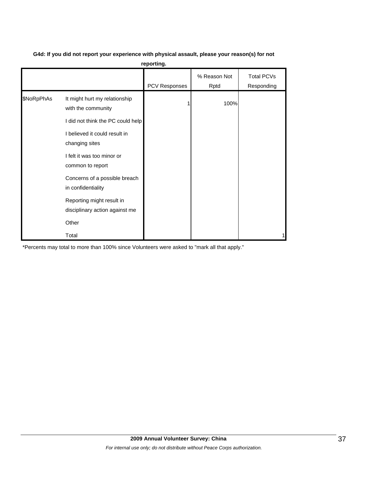|            |                                                             | reporting.    |                      |                                 |
|------------|-------------------------------------------------------------|---------------|----------------------|---------------------------------|
|            |                                                             | PCV Responses | % Reason Not<br>Rptd | <b>Total PCVs</b><br>Responding |
| \$NoRpPhAs | It might hurt my relationship<br>with the community         |               | 100%                 |                                 |
|            | I did not think the PC could help                           |               |                      |                                 |
|            | I believed it could result in<br>changing sites             |               |                      |                                 |
|            | I felt it was too minor or<br>common to report              |               |                      |                                 |
|            | Concerns of a possible breach<br>in confidentiality         |               |                      |                                 |
|            | Reporting might result in<br>disciplinary action against me |               |                      |                                 |
|            | Other                                                       |               |                      |                                 |
|            | Total                                                       |               |                      |                                 |

#### **G4d: If you did not report your experience with physical assault, please your reason(s) for not reporting.**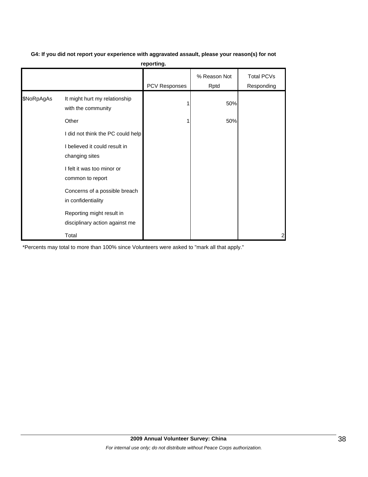| G4: If you did not report your experience with aggravated assault, please your reason(s) for not |  |  |
|--------------------------------------------------------------------------------------------------|--|--|
|                                                                                                  |  |  |

| reporting. |
|------------|
|------------|

|            |                                                             | <b>PCV Responses</b> | % Reason Not<br>Rptd | <b>Total PCVs</b><br>Responding |
|------------|-------------------------------------------------------------|----------------------|----------------------|---------------------------------|
| \$NoRpAgAs | It might hurt my relationship<br>with the community         |                      | 50%                  |                                 |
|            | Other                                                       |                      | 50%                  |                                 |
|            | I did not think the PC could help                           |                      |                      |                                 |
|            | I believed it could result in<br>changing sites             |                      |                      |                                 |
|            | I felt it was too minor or<br>common to report              |                      |                      |                                 |
|            | Concerns of a possible breach<br>in confidentiality         |                      |                      |                                 |
|            | Reporting might result in<br>disciplinary action against me |                      |                      |                                 |
|            | Total                                                       |                      |                      | 2                               |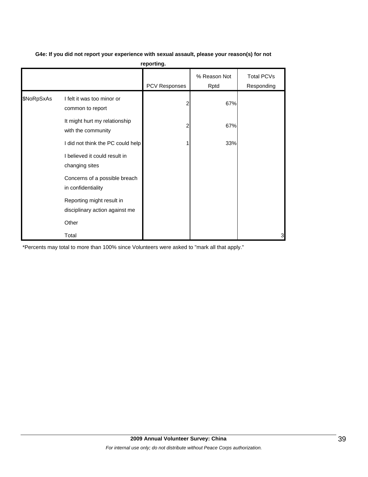|            |                                                             | reporting.    |                      |                                 |
|------------|-------------------------------------------------------------|---------------|----------------------|---------------------------------|
|            |                                                             | PCV Responses | % Reason Not<br>Rptd | <b>Total PCVs</b><br>Responding |
| \$NoRpSxAs | I felt it was too minor or<br>common to report              | 2             | 67%                  |                                 |
|            | It might hurt my relationship<br>with the community         | 2             | 67%                  |                                 |
|            | I did not think the PC could help                           |               | 33%                  |                                 |
|            | I believed it could result in<br>changing sites             |               |                      |                                 |
|            | Concerns of a possible breach<br>in confidentiality         |               |                      |                                 |
|            | Reporting might result in<br>disciplinary action against me |               |                      |                                 |
|            | Other                                                       |               |                      |                                 |
|            | Total                                                       |               |                      | 3                               |

### **G4e: If you did not report your experience with sexual assault, please your reason(s) for not**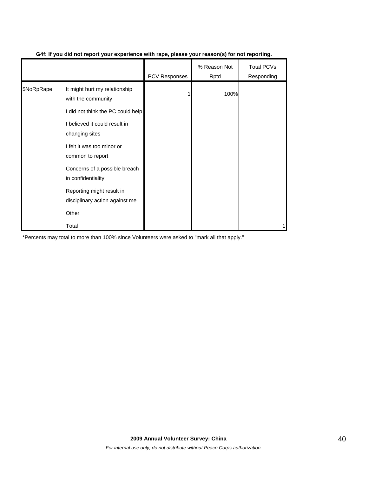|            |                                                             | <b>PCV Responses</b> | % Reason Not<br>Rptd | <b>Total PCVs</b><br>Responding |
|------------|-------------------------------------------------------------|----------------------|----------------------|---------------------------------|
| \$NoRpRape | It might hurt my relationship<br>with the community         |                      | 100%                 |                                 |
|            | I did not think the PC could help                           |                      |                      |                                 |
|            | I believed it could result in<br>changing sites             |                      |                      |                                 |
|            | I felt it was too minor or<br>common to report              |                      |                      |                                 |
|            | Concerns of a possible breach<br>in confidentiality         |                      |                      |                                 |
|            | Reporting might result in<br>disciplinary action against me |                      |                      |                                 |
|            | Other                                                       |                      |                      |                                 |
|            | Total                                                       |                      |                      |                                 |

#### **G4f: If you did not report your experience with rape, please your reason(s) for not reporting.**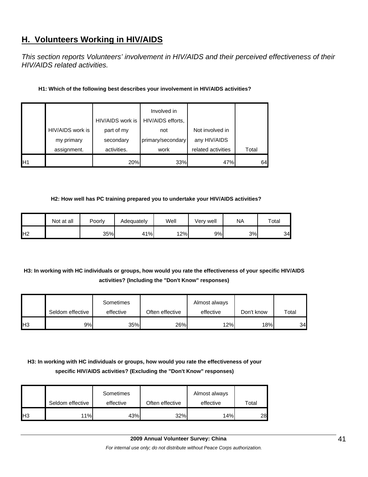## **H. Volunteers Working in HIV/AIDS**

*This section reports Volunteers' involvement in HIV/AIDS and their perceived effectiveness of their HIV/AIDS related activities.* 

#### **H1: Which of the following best describes your involvement in HIV/AIDS activities?**

|                |                  | HIV/AIDS work is | Involved in<br>HIV/AIDS efforts, |                    |       |
|----------------|------------------|------------------|----------------------------------|--------------------|-------|
|                | HIV/AIDS work is | part of my       | not                              | Not involved in    |       |
|                | my primary       | secondary        | primary/secondary                | any HIV/AIDS       |       |
|                | assignment.      | activities.      | work                             | related activities | Total |
| H <sub>1</sub> |                  | 20%              | 33%                              | 47%                | 64    |

#### **H2: How well has PC training prepared you to undertake your HIV/AIDS activities?**

|                | Not at all | Poorly | Adequately | Well | Very well | NA | $\tau$ otal |
|----------------|------------|--------|------------|------|-----------|----|-------------|
| H <sub>2</sub> |            | 35%    | 41%        | 12%  | 9%l       | 3% | 34          |

## **H3: In working with HC individuals or groups, how would you rate the effectiveness of your specific HIV/AIDS activities? (Including the "Don't Know" responses)**

|                |                  | Sometimes |                 | Almost always |            |       |
|----------------|------------------|-----------|-----------------|---------------|------------|-------|
|                | Seldom effective | effective | Often effective | effective     | Don't know | Total |
| H <sub>3</sub> | 9%l              | 35%       | 26%             | 12%           | 18%        | 34    |

## **H3: In working with HC individuals or groups, how would you rate the effectiveness of your specific HIV/AIDS activities? (Excluding the "Don't Know" responses)**

|                | Seldom effective | Sometimes<br>effective | Often effective | Almost always<br>effective | Total |
|----------------|------------------|------------------------|-----------------|----------------------------|-------|
| H <sub>3</sub> | 11%              | 43%                    | 32%             | 14%                        | 28    |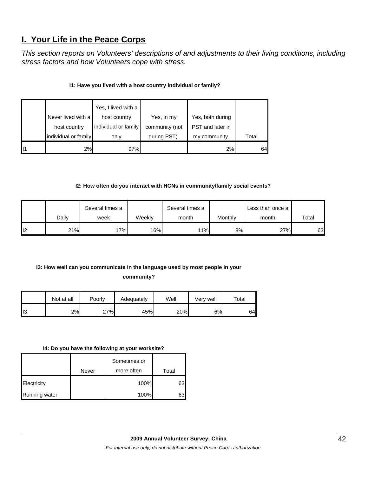## **I. Your Life in the Peace Corps**

*This section reports on Volunteers' descriptions of and adjustments to their living conditions, including stress factors and how Volunteers cope with stress.* 

### **I1: Have you lived with a host country individual or family?**

|    | Yes, I lived with a<br>Never lived with a<br>host country<br>individual or family<br>host country |      | Yes, in my<br>community (not | Yes, both during<br>PST and later in |       |
|----|---------------------------------------------------------------------------------------------------|------|------------------------------|--------------------------------------|-------|
|    | individual or family                                                                              | only | during PST).                 | my community.                        | Total |
| 11 | 2%                                                                                                | 97%  |                              | 2%                                   | 64    |

#### **I2: How often do you interact with HCNs in community/family social events?**

|    |       | Several times a |        | Several times a |         | Less than once a |             |
|----|-------|-----------------|--------|-----------------|---------|------------------|-------------|
|    | Daily | week            | Weekly | month           | Monthly | month            | $\tau$ otal |
| 12 | 21%   | 7%              | 16%    | 11%             | 8%      | 27%              | 63          |

### **I3: How well can you communicate in the language used by most people in your**

**community?** 

|     | Not at all | Poorly | Adequately | Well | Very well | Total |
|-----|------------|--------|------------|------|-----------|-------|
| ll3 | 2%         | 27%    | 45%        | 20%  | 6%        | 64    |

#### **I4: Do you have the following at your worksite?**

|               |       | Sometimes or |       |
|---------------|-------|--------------|-------|
|               | Never | more often   | Total |
| Electricity   |       | 100%         | 63I   |
| Running water |       | 100%         | 63.   |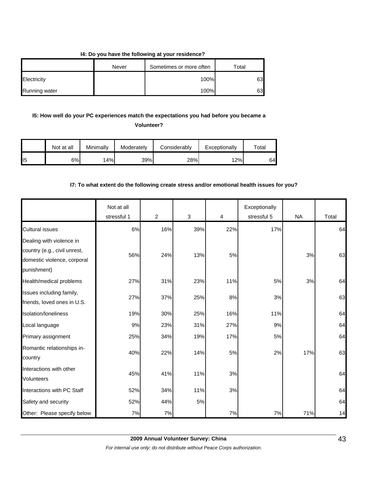#### **I4: Do you have the following at your residence?**

|                      | Never | Sometimes or more often | Total |
|----------------------|-------|-------------------------|-------|
| Electricity          |       | 100%                    | 63    |
| <b>Running water</b> |       | 100%                    | 63    |

## **I5: How well do your PC experiences match the expectations you had before you became a**

**Volunteer?** 

|     | Not at all | Minimally | Moderately | Considerablv | Exceptionally | $\tau$ otal |
|-----|------------|-----------|------------|--------------|---------------|-------------|
| ll5 | 6%         | 14%       | 39%        | 28%          | 12%           | 64          |

#### **I7: To what extent do the following create stress and/or emotional health issues for you?**

|                              | Not at all<br>stressful 1 | $\overline{2}$ | $\sqrt{3}$ | 4   | Exceptionally<br>stressful 5 | <b>NA</b> | Total |
|------------------------------|---------------------------|----------------|------------|-----|------------------------------|-----------|-------|
|                              |                           |                |            |     |                              |           |       |
| <b>Cultural issues</b>       | 6%                        | 16%            | 39%        | 22% | 17%                          |           | 64    |
| Dealing with violence in     |                           |                |            |     |                              |           |       |
| country (e.g., civil unrest, | 56%                       | 24%            | 13%        | 5%  |                              | 3%        | 63    |
| domestic violence, corporal  |                           |                |            |     |                              |           |       |
| punishment)                  |                           |                |            |     |                              |           |       |
| Health/medical problems      | 27%                       | 31%            | 23%        | 11% | 5%                           | 3%        | 64    |
| Issues including family,     |                           |                |            |     |                              |           |       |
| friends, loved ones in U.S.  | 27%                       | 37%            | 25%        | 8%  | 3%                           |           | 63    |
| Isolation/Ioneliness         | 19%                       | 30%            | 25%        | 16% | 11%                          |           | 64    |
| Local language               | 9%                        | 23%            | 31%        | 27% | 9%                           |           | 64    |
| Primary assignment           | 25%                       | 34%            | 19%        | 17% | 5%                           |           | 64    |
| Romantic relationships in-   |                           |                |            |     |                              |           |       |
| country                      | 40%                       | 22%            | 14%        | 5%  | 2%                           | 17%       | 63    |
| Interactions with other      |                           |                |            |     |                              |           |       |
| <b>Volunteers</b>            | 45%                       | 41%            | 11%        | 3%  |                              |           | 64    |
| Interactions with PC Staff   | 52%                       | 34%            | 11%        | 3%  |                              |           | 64    |
| Safety and security          | 52%                       | 44%            | 5%         |     |                              |           | 64    |
| Other: Please specify below  | 7%                        | 7%             |            | 7%  | 7%                           | 71%       | 14    |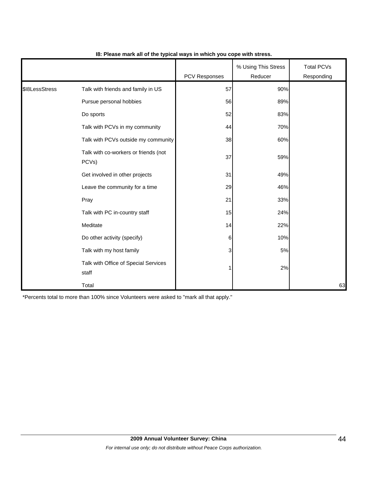|                |                                               | PCV Responses | % Using This Stress<br>Reducer | <b>Total PCVs</b><br>Responding |
|----------------|-----------------------------------------------|---------------|--------------------------------|---------------------------------|
| \$18LessStress | Talk with friends and family in US            | 57            | 90%                            |                                 |
|                | Pursue personal hobbies                       | 56            | 89%                            |                                 |
|                | Do sports                                     | 52            | 83%                            |                                 |
|                | Talk with PCVs in my community                | 44            | 70%                            |                                 |
|                | Talk with PCVs outside my community           | 38            | 60%                            |                                 |
|                | Talk with co-workers or friends (not<br>PCVs) | 37            | 59%                            |                                 |
|                | Get involved in other projects                | 31            | 49%                            |                                 |
|                | Leave the community for a time                | 29            | 46%                            |                                 |
|                | Pray                                          | 21            | 33%                            |                                 |
|                | Talk with PC in-country staff                 | 15            | 24%                            |                                 |
|                | Meditate                                      | 14            | 22%                            |                                 |
|                | Do other activity (specify)                   | 6             | 10%                            |                                 |
|                | Talk with my host family                      | 3             | 5%                             |                                 |
|                | Talk with Office of Special Services<br>staff | 1             | 2%                             |                                 |
|                | Total                                         |               |                                | 63                              |

#### **I8: Please mark all of the typical ways in which you cope with stress.**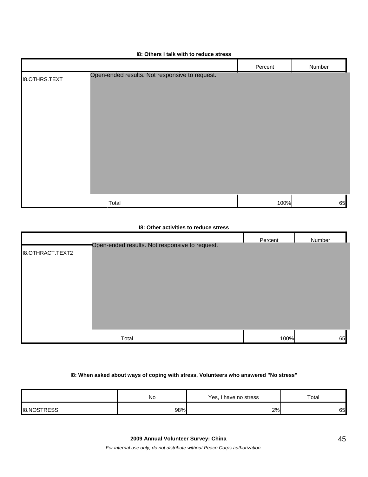|                      | <br>                                           |         |        |
|----------------------|------------------------------------------------|---------|--------|
|                      |                                                | Percent | Number |
| <b>I8.OTHRS.TEXT</b> | Open-ended results. Not responsive to request. |         |        |
|                      | Total                                          | 100%    | 65     |

#### **I8: Others I talk with to reduce stress**

#### **I8: Other activities to reduce stress**

|                         |                                                | Percent | Number |
|-------------------------|------------------------------------------------|---------|--------|
| <b>I8.OTHRACT.TEXT2</b> | Open-ended results. Not responsive to request. |         |        |
|                         |                                                |         |        |
|                         |                                                |         |        |
|                         |                                                |         |        |
|                         |                                                |         |        |
|                         |                                                |         |        |
|                         |                                                |         |        |
|                         |                                                |         |        |
|                         |                                                |         |        |
|                         | Total                                          | 100%    | 65     |

#### **I8: When asked about ways of coping with stress, Volunteers who answered "No stress"**

|                    | No  | Yes, I have no stress | Total |
|--------------------|-----|-----------------------|-------|
| <b>I8.NOSTRESS</b> | 98% | 2%                    | 65    |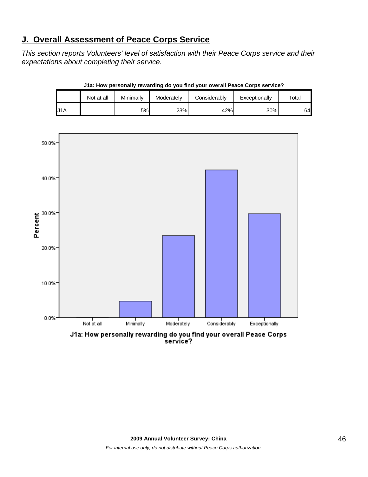## **J. Overall Assessment of Peace Corps Service**

*This section reports Volunteers' level of satisfaction with their Peace Corps service and their expectations about completing their service.* 

|     | Not at all | Minimally | Moderately | Considerably | Exceptionally | $\tau$ otal |
|-----|------------|-----------|------------|--------------|---------------|-------------|
| J1A |            | 5%        | 23%        | 42%          | 30%           | 64          |

**J1a: How personally rewarding do you find your overall Peace Corps service?**



service?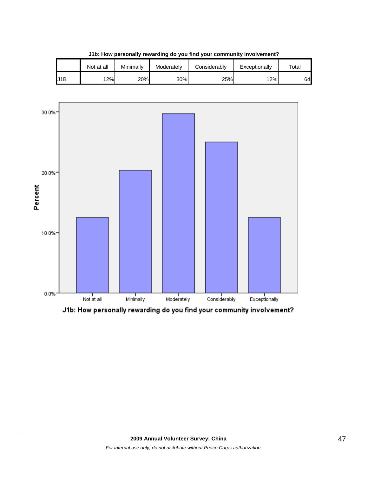|     | Not at all | Minimallv | Moderately | Considerably | Exceptionally | $\tau$ otal |
|-----|------------|-----------|------------|--------------|---------------|-------------|
| J1B | 2%         | 20%       | 30%        | 25%          | 12%           | 64          |

**J1b: How personally rewarding do you find your community involvement?**



J1b: How personally rewarding do you find your community involvement?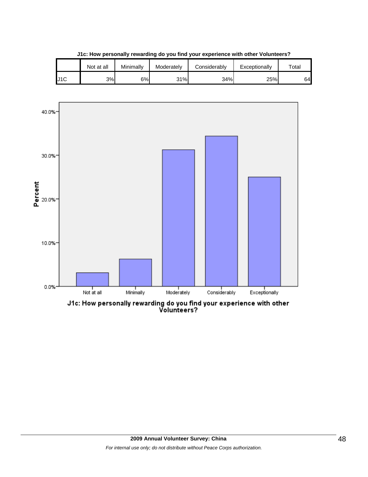|     | Not at all | Minimallv | Moderately | Considerablv | Exceptionally | $\tau$ otal |
|-----|------------|-----------|------------|--------------|---------------|-------------|
| J1C | 3%         | 6%l       | 31%        | 34%          | 25%           | 64          |

**J1c: How personally rewarding do you find your experience with other Volunteers?**



J1c: How personally rewarding do you find your experience with other<br>Volunteers?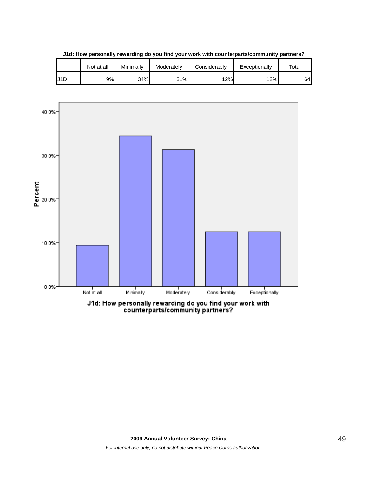|     | Not at all | Minimally | Moderately | Considerably | Exceptionally | $\tau$ otai |
|-----|------------|-----------|------------|--------------|---------------|-------------|
| U1D | 9%         | 34%       | 31%        | 12%          | 12%           | 64          |

**J1d: How personally rewarding do you find your work with counterparts/community partners?**

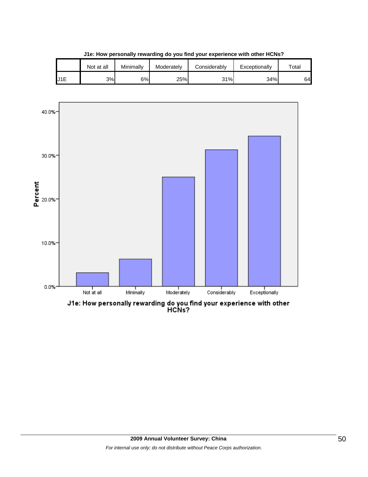|                  | Not at all | Minimallv | Moderately | Considerably | Exceptionally | $\tau$ otal |
|------------------|------------|-----------|------------|--------------|---------------|-------------|
| U <sub>1</sub> E | 3%         | 6%l       | 25%        | 31%          | 34%           | 64          |

**J1e: How personally rewarding do you find your experience with other HCNs?**

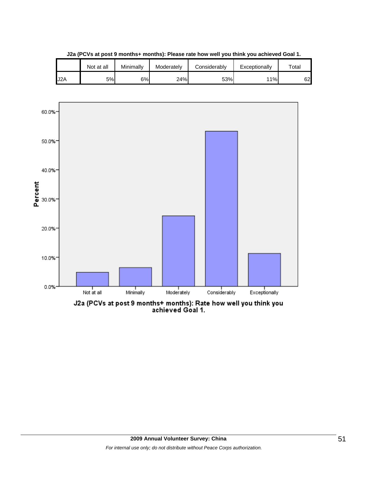

**J2a (PCVs at post 9 months+ months): Please rate how well you think you achieved Goal 1.**

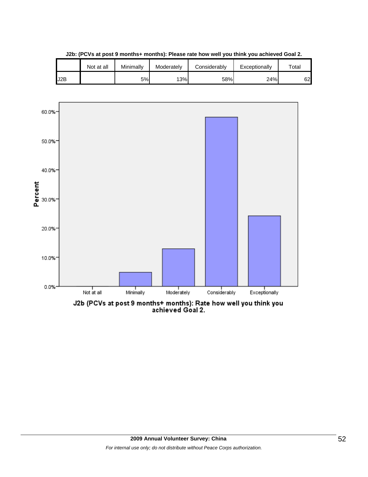

**J2b: (PCVs at post 9 months+ months): Please rate how well you think you achieved Goal 2.**

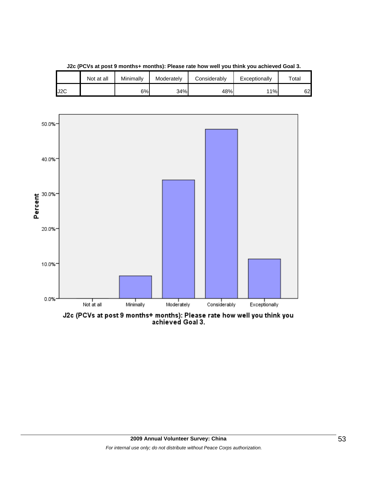

**J2c (PCVs at post 9 months+ months): Please rate how well you think you achieved Goal 3.**

J2C **i** in the second to the second that the second that the second that the second that the second that the second

Not at all | Minimally | Moderately | Considerably | Exceptionally | Total

J2c (PCVs at post 9 months+ months): Please rate how well you think you<br>achieved Goal 3.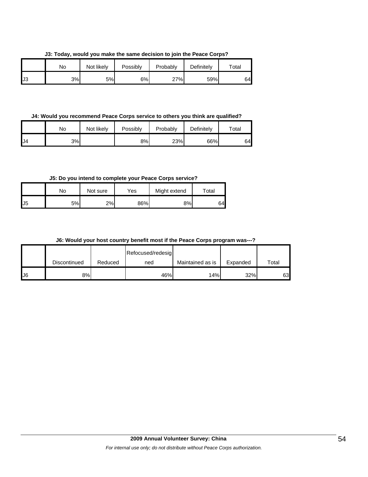**J3: Today, would you make the same decision to join the Peace Corps?**

|    | No | Not likely | Possibly | Probably | Definitely | $\tau$ otal |
|----|----|------------|----------|----------|------------|-------------|
| J3 | 3% | 5%         | 6%       | 27%      | 59%        | 64          |

**J4: Would you recommend Peace Corps service to others you think are qualified?**

|     | No  | Not likely | Possibly | Probably | Definitely | $\tau$ otal |
|-----|-----|------------|----------|----------|------------|-------------|
| IJ4 | 3%l |            | 8%       | 23%      | 66%        | 64          |

**J5: Do you intend to complete your Peace Corps service?**

|     | No  | Not sure | Yes | Might extend | Total |
|-----|-----|----------|-----|--------------|-------|
| IJ5 | 5%l | 2%       | 86% | 8%           | 64    |

**J6: Would your host country benefit most if the Peace Corps program was---?**

|     |              |         | Refocused/redesig |                  |          |       |
|-----|--------------|---------|-------------------|------------------|----------|-------|
|     | Discontinued | Reduced | ned               | Maintained as is | Expanded | Total |
| IJ6 | 8%           |         | 46%               | 14%              | 32%      | 63    |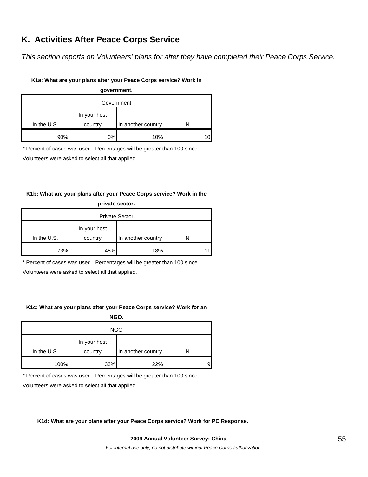## **K. Activities After Peace Corps Service**

*This section reports on Volunteers' plans for after they have completed their Peace Corps Service.* 

#### **K1a: What are your plans after your Peace Corps service? Work in**

| government.   |         |                    |  |  |  |  |
|---------------|---------|--------------------|--|--|--|--|
| Government    |         |                    |  |  |  |  |
| In your host  |         |                    |  |  |  |  |
| In the $U.S.$ | country | In another country |  |  |  |  |
| 90%           | $0\%$   | 10%                |  |  |  |  |

\* Percent of cases was used. Percentages will be greater than 100 since

Volunteers were asked to select all that applied.

#### **K1b: What are your plans after your Peace Corps service? Work in the**

| private sector.       |         |                    |    |  |  |
|-----------------------|---------|--------------------|----|--|--|
| <b>Private Sector</b> |         |                    |    |  |  |
| In your host          |         |                    |    |  |  |
| In the $U.S.$         | country | In another country |    |  |  |
| 73%                   | 45%     | 18%                | 11 |  |  |

\* Percent of cases was used. Percentages will be greater than 100 since

Volunteers were asked to select all that applied.

#### **K1c: What are your plans after your Peace Corps service? Work for an**

**NGO.**

| <b>NGO</b>    |         |                    |   |  |  |
|---------------|---------|--------------------|---|--|--|
|               |         |                    |   |  |  |
| In the $U.S.$ | country | In another country |   |  |  |
| 100%          | 33%     | 22%                | 9 |  |  |

\* Percent of cases was used. Percentages will be greater than 100 since

Volunteers were asked to select all that applied.

**K1d: What are your plans after your Peace Corps service? Work for PC Response.**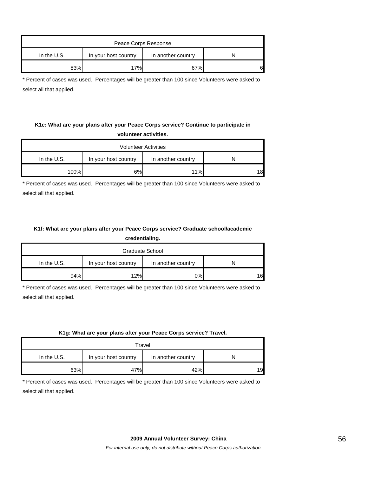| Peace Corps Response                                        |     |     |    |  |  |  |
|-------------------------------------------------------------|-----|-----|----|--|--|--|
| In the $U.S.$<br>In another country<br>In your host country |     |     |    |  |  |  |
| 83%                                                         | 17% | 67% | 61 |  |  |  |

\* Percent of cases was used. Percentages will be greater than 100 since Volunteers were asked to select all that applied.

#### **K1e: What are your plans after your Peace Corps service? Continue to participate in volunteer activities.**

| <b>Volunteer Activities</b>                                 |    |     |    |  |  |  |
|-------------------------------------------------------------|----|-----|----|--|--|--|
| In the $U.S.$<br>In another country<br>In your host country |    |     |    |  |  |  |
| 100%                                                        | 6% | 11% | 18 |  |  |  |

\* Percent of cases was used. Percentages will be greater than 100 since Volunteers were asked to select all that applied.

### **K1f: What are your plans after your Peace Corps service? Graduate school/academic**

**credentialing.**

| Graduate School                                             |     |    |     |  |  |  |
|-------------------------------------------------------------|-----|----|-----|--|--|--|
| In the $U.S.$<br>In your host country<br>In another country |     |    |     |  |  |  |
| 94%                                                         | 12% | 0% | 16. |  |  |  |

\* Percent of cases was used. Percentages will be greater than 100 since Volunteers were asked to select all that applied.

#### **K1g: What are your plans after your Peace Corps service? Travel.**

| Travel                                                      |     |     |    |  |  |  |
|-------------------------------------------------------------|-----|-----|----|--|--|--|
| In the $U.S.$<br>In your host country<br>In another country |     |     |    |  |  |  |
| 63%                                                         | 47% | 42% | 19 |  |  |  |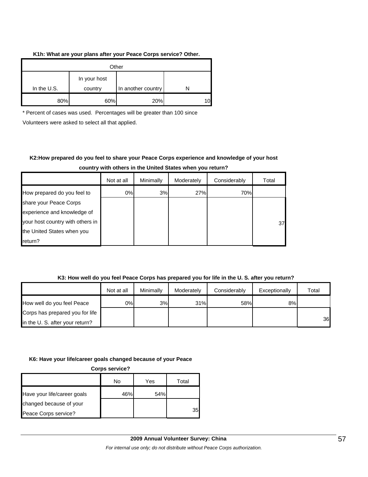#### **K1h: What are your plans after your Peace Corps service? Other.**

| Other       |                         |                    |  |  |  |
|-------------|-------------------------|--------------------|--|--|--|
| In the U.S. | In your host<br>country | In another country |  |  |  |
|             |                         |                    |  |  |  |
| 80%         | 60%                     | 20%                |  |  |  |

\* Percent of cases was used. Percentages will be greater than 100 since

Volunteers were asked to select all that applied.

## **K2:How prepared do you feel to share your Peace Corps experience and knowledge of your host**

|  |  | country with others in the United States when you return? |  |  |
|--|--|-----------------------------------------------------------|--|--|
|--|--|-----------------------------------------------------------|--|--|

|                                  | Not at all | Minimally | Moderately | Considerably | Total |
|----------------------------------|------------|-----------|------------|--------------|-------|
| How prepared do you feel to      | 0%         | 3%        | 27%        | 70%          |       |
| share your Peace Corps           |            |           |            |              |       |
| experience and knowledge of      |            |           |            |              |       |
| your host country with others in |            |           |            |              | 37    |
| the United States when you       |            |           |            |              |       |
| return?                          |            |           |            |              |       |

#### **K3: How well do you feel Peace Corps has prepared you for life in the U. S. after you return?**

|                                 | Not at all | Minimally | Moderately | Considerably | Exceptionally | Total |
|---------------------------------|------------|-----------|------------|--------------|---------------|-------|
| How well do you feel Peace      | 0%         | 3%        | 31%        | 58%          | 8%            |       |
| Corps has prepared you for life |            |           |            |              |               |       |
| in the U. S. after your return? |            |           |            |              |               | 36    |

#### **K6: Have your life/career goals changed because of your Peace**

**Corps service?**

|                             | No  | Yes | Total |
|-----------------------------|-----|-----|-------|
| Have your life/career goals | 46% | 54% |       |
| changed because of your     |     |     |       |
| Peace Corps service?        |     |     | 35    |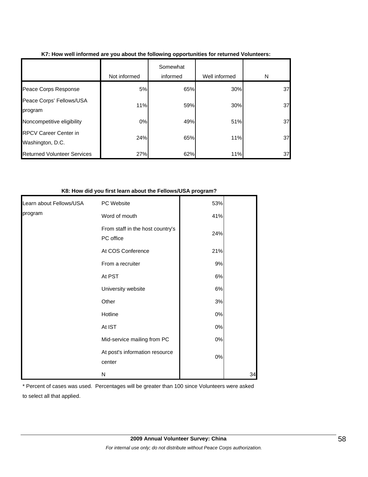|                                                  | Not informed | Somewhat<br>informed | Well informed | N  |
|--------------------------------------------------|--------------|----------------------|---------------|----|
| Peace Corps Response                             | 5%           | 65%                  | 30%           | 37 |
| Peace Corps' Fellows/USA<br>program              | 11%          | 59%                  | 30%           | 37 |
| Noncompetitive eligibility                       | 0%           | 49%                  | 51%           | 37 |
| <b>RPCV Career Center in</b><br>Washington, D.C. | 24%          | 65%                  | 11%           | 37 |
| <b>Returned Volunteer Services</b>               | 27%          | 62%                  | 11%           | 37 |

#### **K7: How well informed are you about the following opportunities for returned Volunteers:**

#### **K8: How did you first learn about the Fellows/USA program?**

| Learn about Fellows/USA | PC Website                                    | 53%   |    |
|-------------------------|-----------------------------------------------|-------|----|
| program                 | Word of mouth                                 | 41%   |    |
|                         | From staff in the host country's<br>PC office | 24%   |    |
|                         | At COS Conference                             | 21%   |    |
|                         | From a recruiter                              | 9%    |    |
|                         | At PST                                        | 6%    |    |
|                         | University website                            | $6\%$ |    |
|                         | Other                                         | 3%    |    |
|                         | Hotline                                       | $0\%$ |    |
|                         | At IST                                        | $0\%$ |    |
|                         | Mid-service mailing from PC                   | $0\%$ |    |
|                         | At post's information resource<br>center      | $0\%$ |    |
|                         | N                                             |       | 34 |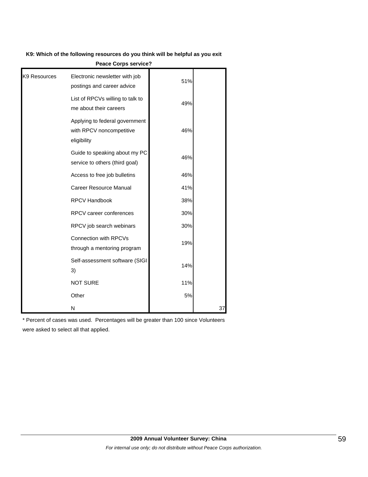#### **K9: Which of the following resources do you think will be helpful as you exit**

| <b>Peace Corps service?</b> |                                                                           |     |    |
|-----------------------------|---------------------------------------------------------------------------|-----|----|
| K9 Resources                | Electronic newsletter with job<br>postings and career advice              | 51% |    |
|                             | List of RPCVs willing to talk to<br>me about their careers                | 49% |    |
|                             | Applying to federal government<br>with RPCV noncompetitive<br>eligibility | 46% |    |
|                             | Guide to speaking about my PC<br>service to others (third goal)           | 46% |    |
|                             | Access to free job bulletins                                              | 46% |    |
|                             | Career Resource Manual                                                    | 41% |    |
|                             | <b>RPCV Handbook</b>                                                      | 38% |    |
|                             | <b>RPCV</b> career conferences                                            | 30% |    |
|                             | RPCV job search webinars                                                  | 30% |    |
|                             | Connection with RPCVs<br>through a mentoring program                      | 19% |    |
|                             | Self-assessment software (SIGI<br>3)                                      | 14% |    |
|                             | <b>NOT SURE</b>                                                           | 11% |    |
|                             | Other                                                                     | 5%  |    |
|                             | N                                                                         |     | 37 |